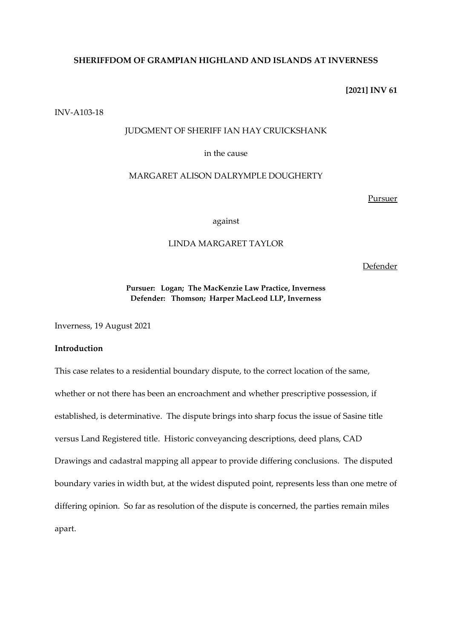## **SHERIFFDOM OF GRAMPIAN HIGHLAND AND ISLANDS AT INVERNESS**

## **[2021] INV 61**

INV-A103-18

# JUDGMENT OF SHERIFF IAN HAY CRUICKSHANK

in the cause

## MARGARET ALISON DALRYMPLE DOUGHERTY

Pursuer

against

## LINDA MARGARET TAYLOR

Defender

# **Pursuer: Logan; The MacKenzie Law Practice, Inverness Defender: Thomson; Harper MacLeod LLP, Inverness**

Inverness, 19 August 2021

# **Introduction**

This case relates to a residential boundary dispute, to the correct location of the same, whether or not there has been an encroachment and whether prescriptive possession, if established, is determinative. The dispute brings into sharp focus the issue of Sasine title versus Land Registered title. Historic conveyancing descriptions, deed plans, CAD Drawings and cadastral mapping all appear to provide differing conclusions. The disputed boundary varies in width but, at the widest disputed point, represents less than one metre of differing opinion. So far as resolution of the dispute is concerned, the parties remain miles apart.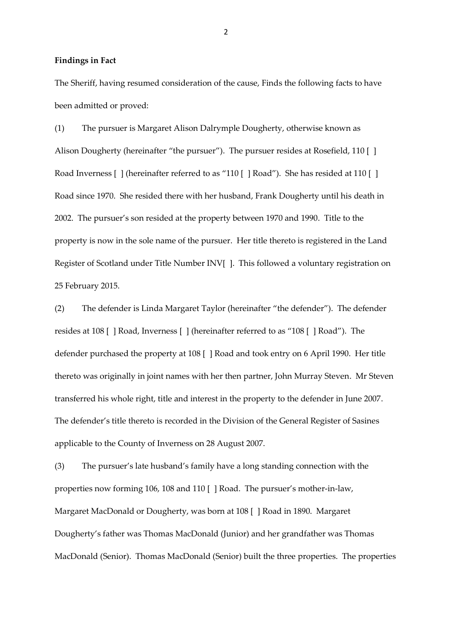#### **Findings in Fact**

The Sheriff, having resumed consideration of the cause, Finds the following facts to have been admitted or proved:

(1) The pursuer is Margaret Alison Dalrymple Dougherty, otherwise known as Alison Dougherty (hereinafter "the pursuer"). The pursuer resides at Rosefield, 110 [] Road Inverness [ ] (hereinafter referred to as "110 [ ] Road"). She has resided at 110 [ ] Road since 1970. She resided there with her husband, Frank Dougherty until his death in 2002. The pursuer's son resided at the property between 1970 and 1990. Title to the property is now in the sole name of the pursuer. Her title thereto is registered in the Land Register of Scotland under Title Number INV[ ]. This followed a voluntary registration on 25 February 2015.

(2) The defender is Linda Margaret Taylor (hereinafter "the defender"). The defender resides at 108 [ ] Road, Inverness [ ] (hereinafter referred to as "108 [ ] Road"). The defender purchased the property at 108 [ ] Road and took entry on 6 April 1990. Her title thereto was originally in joint names with her then partner, John Murray Steven. Mr Steven transferred his whole right, title and interest in the property to the defender in June 2007. The defender's title thereto is recorded in the Division of the General Register of Sasines applicable to the County of Inverness on 28 August 2007.

(3) The pursuer's late husband's family have a long standing connection with the properties now forming 106, 108 and 110 [ ] Road. The pursuer's mother-in-law, Margaret MacDonald or Dougherty, was born at 108 [ ] Road in 1890. Margaret Dougherty's father was Thomas MacDonald (Junior) and her grandfather was Thomas MacDonald (Senior). Thomas MacDonald (Senior) built the three properties. The properties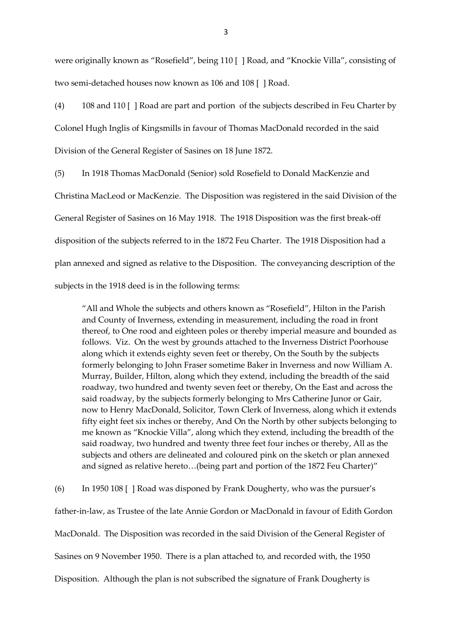were originally known as "Rosefield", being 110 [ ] Road, and "Knockie Villa", consisting of two semi-detached houses now known as 106 and 108 [ ] Road.

(4) 108 and 110 [ ] Road are part and portion of the subjects described in Feu Charter by Colonel Hugh Inglis of Kingsmills in favour of Thomas MacDonald recorded in the said Division of the General Register of Sasines on 18 June 1872.

(5) In 1918 Thomas MacDonald (Senior) sold Rosefield to Donald MacKenzie and Christina MacLeod or MacKenzie. The Disposition was registered in the said Division of the General Register of Sasines on 16 May 1918. The 1918 Disposition was the first break-off disposition of the subjects referred to in the 1872 Feu Charter. The 1918 Disposition had a plan annexed and signed as relative to the Disposition. The conveyancing description of the subjects in the 1918 deed is in the following terms:

"All and Whole the subjects and others known as "Rosefield", Hilton in the Parish and County of Inverness, extending in measurement, including the road in front thereof, to One rood and eighteen poles or thereby imperial measure and bounded as follows. Viz. On the west by grounds attached to the Inverness District Poorhouse along which it extends eighty seven feet or thereby, On the South by the subjects formerly belonging to John Fraser sometime Baker in Inverness and now William A. Murray, Builder, Hilton, along which they extend, including the breadth of the said roadway, two hundred and twenty seven feet or thereby, On the East and across the said roadway, by the subjects formerly belonging to Mrs Catherine Junor or Gair, now to Henry MacDonald, Solicitor, Town Clerk of Inverness, along which it extends fifty eight feet six inches or thereby, And On the North by other subjects belonging to me known as "Knockie Villa", along which they extend, including the breadth of the said roadway, two hundred and twenty three feet four inches or thereby, All as the subjects and others are delineated and coloured pink on the sketch or plan annexed and signed as relative hereto…(being part and portion of the 1872 Feu Charter)"

(6) In 1950 108 [ ] Road was disponed by Frank Dougherty, who was the pursuer's father-in-law, as Trustee of the late Annie Gordon or MacDonald in favour of Edith Gordon MacDonald. The Disposition was recorded in the said Division of the General Register of Sasines on 9 November 1950. There is a plan attached to, and recorded with, the 1950 Disposition. Although the plan is not subscribed the signature of Frank Dougherty is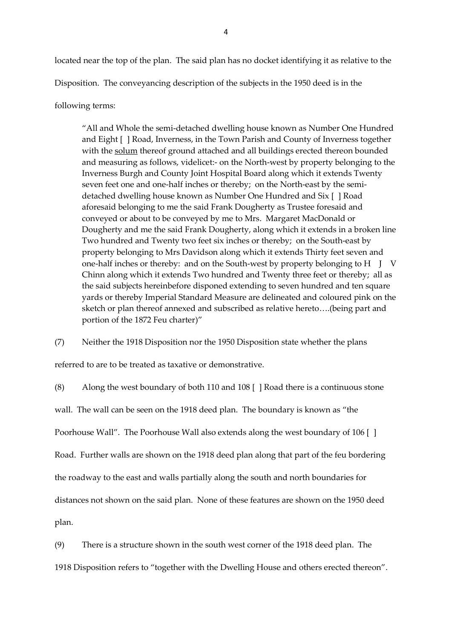located near the top of the plan. The said plan has no docket identifying it as relative to the Disposition. The conveyancing description of the subjects in the 1950 deed is in the

following terms:

"All and Whole the semi-detached dwelling house known as Number One Hundred and Eight [ ] Road, Inverness, in the Town Parish and County of Inverness together with the solum thereof ground attached and all buildings erected thereon bounded and measuring as follows, videlicet:- on the North-west by property belonging to the Inverness Burgh and County Joint Hospital Board along which it extends Twenty seven feet one and one-half inches or thereby; on the North-east by the semidetached dwelling house known as Number One Hundred and Six [ ] Road aforesaid belonging to me the said Frank Dougherty as Trustee foresaid and conveyed or about to be conveyed by me to Mrs. Margaret MacDonald or Dougherty and me the said Frank Dougherty, along which it extends in a broken line Two hundred and Twenty two feet six inches or thereby; on the South-east by property belonging to Mrs Davidson along which it extends Thirty feet seven and one-half inches or thereby: and on the South-west by property belonging to H J V Chinn along which it extends Two hundred and Twenty three feet or thereby; all as the said subjects hereinbefore disponed extending to seven hundred and ten square yards or thereby Imperial Standard Measure are delineated and coloured pink on the sketch or plan thereof annexed and subscribed as relative hereto….(being part and portion of the 1872 Feu charter)"

(7) Neither the 1918 Disposition nor the 1950 Disposition state whether the plans

referred to are to be treated as taxative or demonstrative.

(8) Along the west boundary of both 110 and 108 [ ] Road there is a continuous stone

wall. The wall can be seen on the 1918 deed plan. The boundary is known as "the

Poorhouse Wall". The Poorhouse Wall also extends along the west boundary of 106 [ ]

Road. Further walls are shown on the 1918 deed plan along that part of the feu bordering

the roadway to the east and walls partially along the south and north boundaries for

distances not shown on the said plan. None of these features are shown on the 1950 deed

plan.

(9) There is a structure shown in the south west corner of the 1918 deed plan. The

1918 Disposition refers to "together with the Dwelling House and others erected thereon".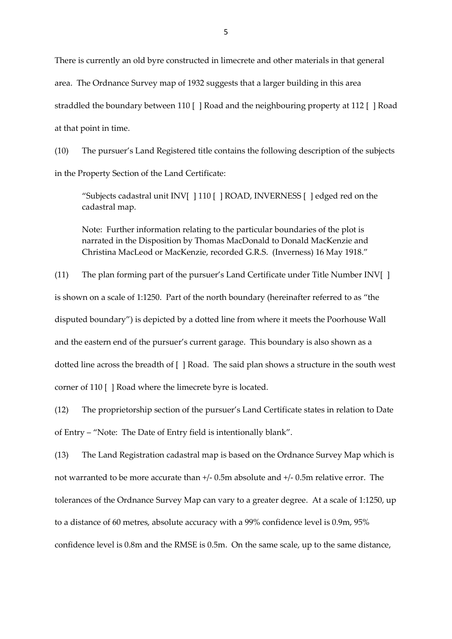There is currently an old byre constructed in limecrete and other materials in that general area. The Ordnance Survey map of 1932 suggests that a larger building in this area straddled the boundary between 110 [ ] Road and the neighbouring property at 112 [ ] Road at that point in time.

(10) The pursuer's Land Registered title contains the following description of the subjects in the Property Section of the Land Certificate:

"Subjects cadastral unit INV[ ] 110 [ ] ROAD, INVERNESS [ ] edged red on the cadastral map.

Note: Further information relating to the particular boundaries of the plot is narrated in the Disposition by Thomas MacDonald to Donald MacKenzie and Christina MacLeod or MacKenzie, recorded G.R.S. (Inverness) 16 May 1918."

(11) The plan forming part of the pursuer's Land Certificate under Title Number INV[ ] is shown on a scale of 1:1250. Part of the north boundary (hereinafter referred to as "the disputed boundary") is depicted by a dotted line from where it meets the Poorhouse Wall and the eastern end of the pursuer's current garage. This boundary is also shown as a dotted line across the breadth of [ ] Road. The said plan shows a structure in the south west corner of 110 [ ] Road where the limecrete byre is located.

(12) The proprietorship section of the pursuer's Land Certificate states in relation to Date of Entry – "Note: The Date of Entry field is intentionally blank".

(13) The Land Registration cadastral map is based on the Ordnance Survey Map which is not warranted to be more accurate than +/- 0.5m absolute and +/- 0.5m relative error. The tolerances of the Ordnance Survey Map can vary to a greater degree. At a scale of 1:1250, up to a distance of 60 metres, absolute accuracy with a 99% confidence level is 0.9m, 95% confidence level is 0.8m and the RMSE is 0.5m. On the same scale, up to the same distance,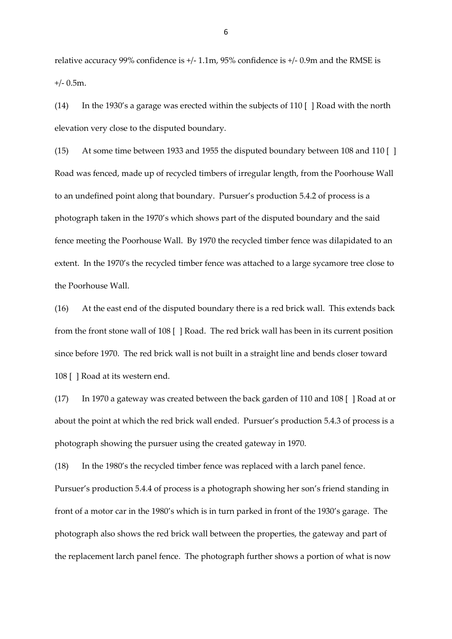relative accuracy 99% confidence is +/- 1.1m, 95% confidence is +/- 0.9m and the RMSE is  $+/- 0.5$ m.

(14) In the 1930's a garage was erected within the subjects of 110 [ ] Road with the north elevation very close to the disputed boundary.

(15) At some time between 1933 and 1955 the disputed boundary between 108 and 110 [ ] Road was fenced, made up of recycled timbers of irregular length, from the Poorhouse Wall to an undefined point along that boundary. Pursuer's production 5.4.2 of process is a photograph taken in the 1970's which shows part of the disputed boundary and the said fence meeting the Poorhouse Wall. By 1970 the recycled timber fence was dilapidated to an extent. In the 1970's the recycled timber fence was attached to a large sycamore tree close to the Poorhouse Wall.

(16) At the east end of the disputed boundary there is a red brick wall. This extends back from the front stone wall of 108 [ ] Road. The red brick wall has been in its current position since before 1970. The red brick wall is not built in a straight line and bends closer toward 108 [ ] Road at its western end.

(17) In 1970 a gateway was created between the back garden of 110 and 108 [ ] Road at or about the point at which the red brick wall ended. Pursuer's production 5.4.3 of process is a photograph showing the pursuer using the created gateway in 1970.

(18) In the 1980's the recycled timber fence was replaced with a larch panel fence. Pursuer's production 5.4.4 of process is a photograph showing her son's friend standing in front of a motor car in the 1980's which is in turn parked in front of the 1930's garage. The photograph also shows the red brick wall between the properties, the gateway and part of the replacement larch panel fence. The photograph further shows a portion of what is now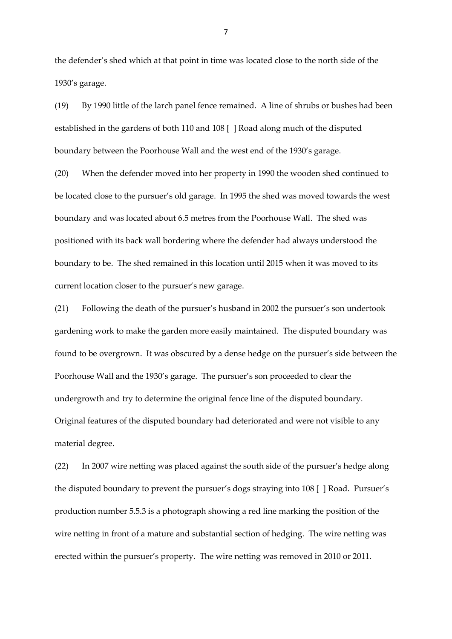the defender's shed which at that point in time was located close to the north side of the 1930's garage.

(19) By 1990 little of the larch panel fence remained. A line of shrubs or bushes had been established in the gardens of both 110 and 108 [ ] Road along much of the disputed boundary between the Poorhouse Wall and the west end of the 1930's garage.

(20) When the defender moved into her property in 1990 the wooden shed continued to be located close to the pursuer's old garage. In 1995 the shed was moved towards the west boundary and was located about 6.5 metres from the Poorhouse Wall. The shed was positioned with its back wall bordering where the defender had always understood the boundary to be. The shed remained in this location until 2015 when it was moved to its current location closer to the pursuer's new garage.

(21) Following the death of the pursuer's husband in 2002 the pursuer's son undertook gardening work to make the garden more easily maintained. The disputed boundary was found to be overgrown. It was obscured by a dense hedge on the pursuer's side between the Poorhouse Wall and the 1930's garage. The pursuer's son proceeded to clear the undergrowth and try to determine the original fence line of the disputed boundary. Original features of the disputed boundary had deteriorated and were not visible to any material degree.

(22) In 2007 wire netting was placed against the south side of the pursuer's hedge along the disputed boundary to prevent the pursuer's dogs straying into 108 [ ] Road. Pursuer's production number 5.5.3 is a photograph showing a red line marking the position of the wire netting in front of a mature and substantial section of hedging. The wire netting was erected within the pursuer's property. The wire netting was removed in 2010 or 2011.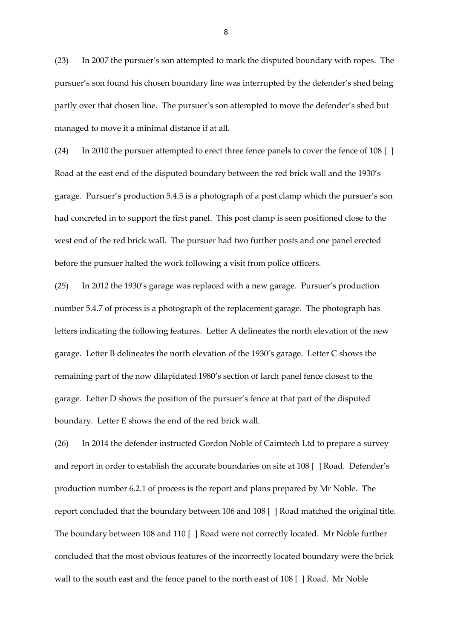(23) In 2007 the pursuer's son attempted to mark the disputed boundary with ropes. The pursuer's son found his chosen boundary line was interrupted by the defender's shed being partly over that chosen line. The pursuer's son attempted to move the defender's shed but managed to move it a minimal distance if at all.

(24) In 2010 the pursuer attempted to erect three fence panels to cover the fence of 108 [ ] Road at the east end of the disputed boundary between the red brick wall and the 1930's garage. Pursuer's production 5.4.5 is a photograph of a post clamp which the pursuer's son had concreted in to support the first panel. This post clamp is seen positioned close to the west end of the red brick wall. The pursuer had two further posts and one panel erected before the pursuer halted the work following a visit from police officers.

(25) In 2012 the 1930's garage was replaced with a new garage. Pursuer's production number 5.4.7 of process is a photograph of the replacement garage. The photograph has letters indicating the following features. Letter A delineates the north elevation of the new garage. Letter B delineates the north elevation of the 1930's garage. Letter C shows the remaining part of the now dilapidated 1980's section of larch panel fence closest to the garage. Letter D shows the position of the pursuer's fence at that part of the disputed boundary. Letter E shows the end of the red brick wall.

(26) In 2014 the defender instructed Gordon Noble of Cairntech Ltd to prepare a survey and report in order to establish the accurate boundaries on site at 108 [ ] Road. Defender's production number 6.2.1 of process is the report and plans prepared by Mr Noble. The report concluded that the boundary between 106 and 108 [ ] Road matched the original title. The boundary between 108 and 110 [ ] Road were not correctly located. Mr Noble further concluded that the most obvious features of the incorrectly located boundary were the brick wall to the south east and the fence panel to the north east of 108 [ ] Road. Mr Noble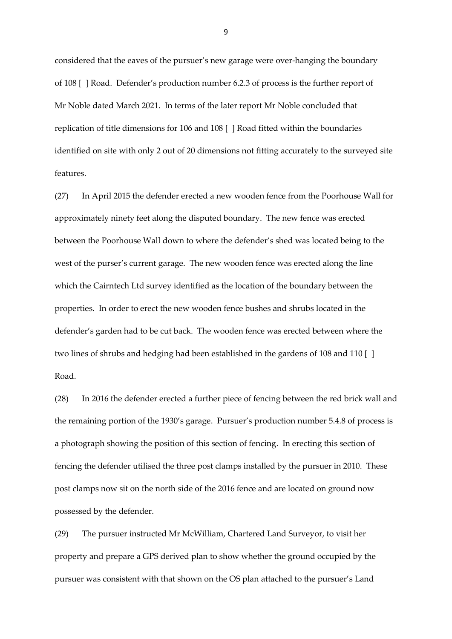considered that the eaves of the pursuer's new garage were over-hanging the boundary of 108 [ ] Road. Defender's production number 6.2.3 of process is the further report of Mr Noble dated March 2021. In terms of the later report Mr Noble concluded that replication of title dimensions for 106 and 108 [ ] Road fitted within the boundaries identified on site with only 2 out of 20 dimensions not fitting accurately to the surveyed site features.

(27) In April 2015 the defender erected a new wooden fence from the Poorhouse Wall for approximately ninety feet along the disputed boundary. The new fence was erected between the Poorhouse Wall down to where the defender's shed was located being to the west of the purser's current garage. The new wooden fence was erected along the line which the Cairntech Ltd survey identified as the location of the boundary between the properties. In order to erect the new wooden fence bushes and shrubs located in the defender's garden had to be cut back. The wooden fence was erected between where the two lines of shrubs and hedging had been established in the gardens of 108 and 110 [ ] Road.

(28) In 2016 the defender erected a further piece of fencing between the red brick wall and the remaining portion of the 1930's garage. Pursuer's production number 5.4.8 of process is a photograph showing the position of this section of fencing. In erecting this section of fencing the defender utilised the three post clamps installed by the pursuer in 2010. These post clamps now sit on the north side of the 2016 fence and are located on ground now possessed by the defender.

(29) The pursuer instructed Mr McWilliam, Chartered Land Surveyor, to visit her property and prepare a GPS derived plan to show whether the ground occupied by the pursuer was consistent with that shown on the OS plan attached to the pursuer's Land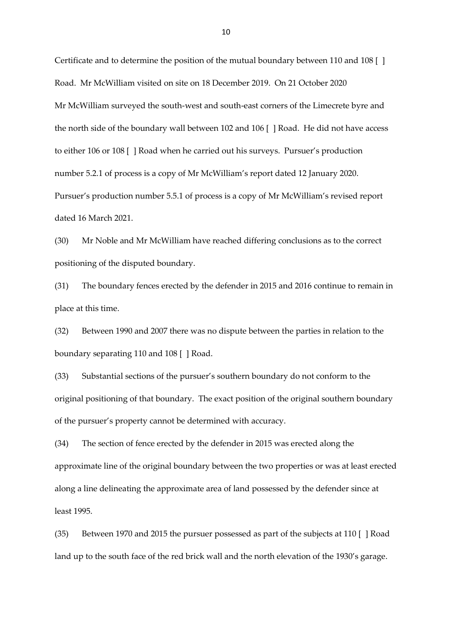Certificate and to determine the position of the mutual boundary between 110 and 108 [ ] Road. Mr McWilliam visited on site on 18 December 2019. On 21 October 2020 Mr McWilliam surveyed the south-west and south-east corners of the Limecrete byre and the north side of the boundary wall between 102 and 106 [ ] Road. He did not have access to either 106 or 108 [ ] Road when he carried out his surveys. Pursuer's production number 5.2.1 of process is a copy of Mr McWilliam's report dated 12 January 2020. Pursuer's production number 5.5.1 of process is a copy of Mr McWilliam's revised report dated 16 March 2021.

(30) Mr Noble and Mr McWilliam have reached differing conclusions as to the correct positioning of the disputed boundary.

(31) The boundary fences erected by the defender in 2015 and 2016 continue to remain in place at this time.

(32) Between 1990 and 2007 there was no dispute between the parties in relation to the boundary separating 110 and 108 [ ] Road.

(33) Substantial sections of the pursuer's southern boundary do not conform to the original positioning of that boundary. The exact position of the original southern boundary of the pursuer's property cannot be determined with accuracy.

(34) The section of fence erected by the defender in 2015 was erected along the approximate line of the original boundary between the two properties or was at least erected along a line delineating the approximate area of land possessed by the defender since at least 1995.

(35) Between 1970 and 2015 the pursuer possessed as part of the subjects at 110 [ ] Road land up to the south face of the red brick wall and the north elevation of the 1930's garage.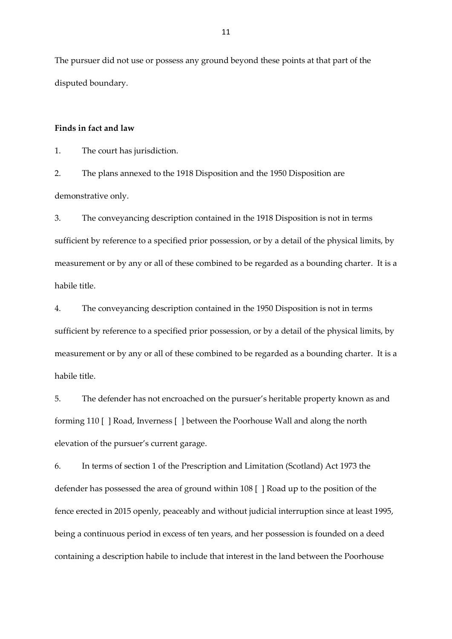The pursuer did not use or possess any ground beyond these points at that part of the disputed boundary.

## **Finds in fact and law**

1. The court has jurisdiction.

2. The plans annexed to the 1918 Disposition and the 1950 Disposition are demonstrative only.

3. The conveyancing description contained in the 1918 Disposition is not in terms sufficient by reference to a specified prior possession, or by a detail of the physical limits, by measurement or by any or all of these combined to be regarded as a bounding charter. It is a habile title.

4. The conveyancing description contained in the 1950 Disposition is not in terms sufficient by reference to a specified prior possession, or by a detail of the physical limits, by measurement or by any or all of these combined to be regarded as a bounding charter. It is a habile title.

5. The defender has not encroached on the pursuer's heritable property known as and forming 110 [ ] Road, Inverness [ ] between the Poorhouse Wall and along the north elevation of the pursuer's current garage.

6. In terms of section 1 of the Prescription and Limitation (Scotland) Act 1973 the defender has possessed the area of ground within 108 [ ] Road up to the position of the fence erected in 2015 openly, peaceably and without judicial interruption since at least 1995, being a continuous period in excess of ten years, and her possession is founded on a deed containing a description habile to include that interest in the land between the Poorhouse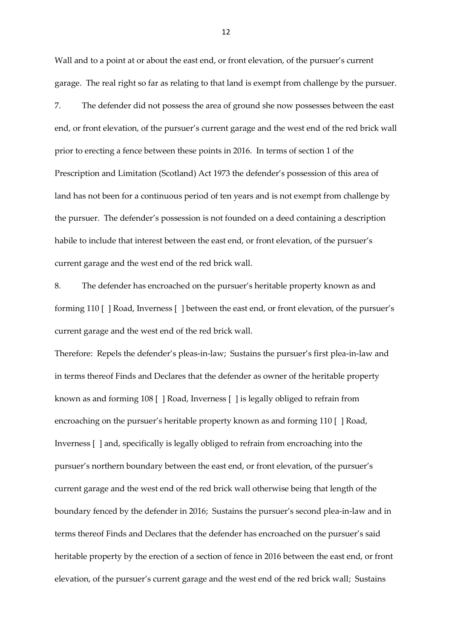Wall and to a point at or about the east end, or front elevation, of the pursuer's current garage. The real right so far as relating to that land is exempt from challenge by the pursuer.

7. The defender did not possess the area of ground she now possesses between the east end, or front elevation, of the pursuer's current garage and the west end of the red brick wall prior to erecting a fence between these points in 2016. In terms of section 1 of the Prescription and Limitation (Scotland) Act 1973 the defender's possession of this area of land has not been for a continuous period of ten years and is not exempt from challenge by the pursuer. The defender's possession is not founded on a deed containing a description habile to include that interest between the east end, or front elevation, of the pursuer's current garage and the west end of the red brick wall.

8. The defender has encroached on the pursuer's heritable property known as and forming 110 [ ] Road, Inverness [ ] between the east end, or front elevation, of the pursuer's current garage and the west end of the red brick wall.

Therefore: Repels the defender's pleas-in-law; Sustains the pursuer's first plea-in-law and in terms thereof Finds and Declares that the defender as owner of the heritable property known as and forming 108 [ ] Road, Inverness [ ] is legally obliged to refrain from encroaching on the pursuer's heritable property known as and forming 110 [ ] Road, Inverness [ ] and, specifically is legally obliged to refrain from encroaching into the pursuer's northern boundary between the east end, or front elevation, of the pursuer's current garage and the west end of the red brick wall otherwise being that length of the boundary fenced by the defender in 2016; Sustains the pursuer's second plea-in-law and in terms thereof Finds and Declares that the defender has encroached on the pursuer's said heritable property by the erection of a section of fence in 2016 between the east end, or front elevation, of the pursuer's current garage and the west end of the red brick wall; Sustains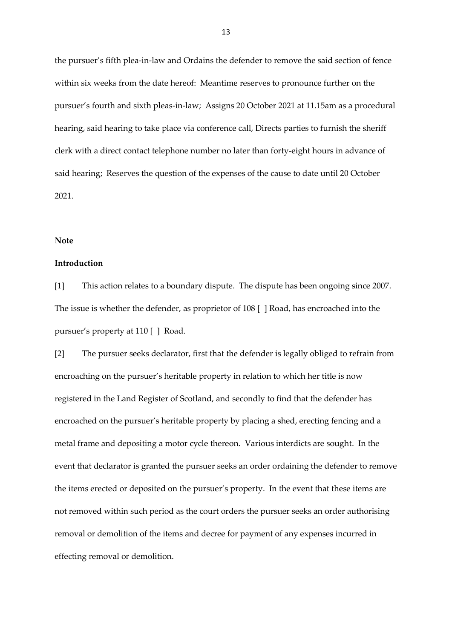the pursuer's fifth plea-in-law and Ordains the defender to remove the said section of fence within six weeks from the date hereof: Meantime reserves to pronounce further on the pursuer's fourth and sixth pleas-in-law; Assigns 20 October 2021 at 11.15am as a procedural hearing, said hearing to take place via conference call, Directs parties to furnish the sheriff clerk with a direct contact telephone number no later than forty-eight hours in advance of said hearing; Reserves the question of the expenses of the cause to date until 20 October 2021.

#### **Note**

## **Introduction**

[1] This action relates to a boundary dispute. The dispute has been ongoing since 2007. The issue is whether the defender, as proprietor of 108 [ ] Road, has encroached into the pursuer's property at 110 [ ] Road.

[2] The pursuer seeks declarator, first that the defender is legally obliged to refrain from encroaching on the pursuer's heritable property in relation to which her title is now registered in the Land Register of Scotland, and secondly to find that the defender has encroached on the pursuer's heritable property by placing a shed, erecting fencing and a metal frame and depositing a motor cycle thereon. Various interdicts are sought. In the event that declarator is granted the pursuer seeks an order ordaining the defender to remove the items erected or deposited on the pursuer's property. In the event that these items are not removed within such period as the court orders the pursuer seeks an order authorising removal or demolition of the items and decree for payment of any expenses incurred in effecting removal or demolition.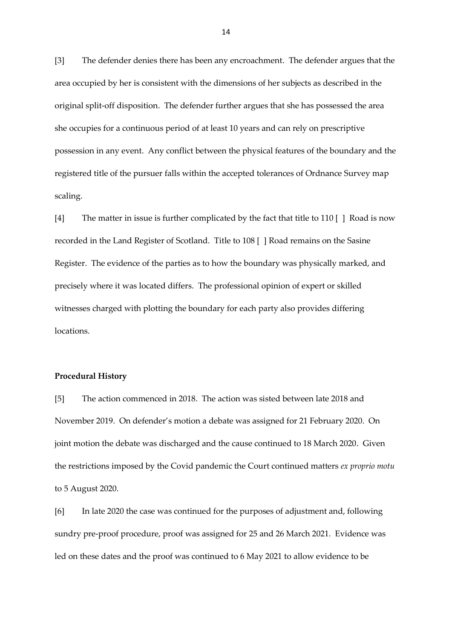[3] The defender denies there has been any encroachment. The defender argues that the area occupied by her is consistent with the dimensions of her subjects as described in the original split-off disposition. The defender further argues that she has possessed the area she occupies for a continuous period of at least 10 years and can rely on prescriptive possession in any event. Any conflict between the physical features of the boundary and the registered title of the pursuer falls within the accepted tolerances of Ordnance Survey map scaling.

[4] The matter in issue is further complicated by the fact that title to 110 [ ] Road is now recorded in the Land Register of Scotland. Title to 108 [ ] Road remains on the Sasine Register. The evidence of the parties as to how the boundary was physically marked, and precisely where it was located differs. The professional opinion of expert or skilled witnesses charged with plotting the boundary for each party also provides differing locations.

#### **Procedural History**

[5] The action commenced in 2018. The action was sisted between late 2018 and November 2019. On defender's motion a debate was assigned for 21 February 2020. On joint motion the debate was discharged and the cause continued to 18 March 2020. Given the restrictions imposed by the Covid pandemic the Court continued matters *ex proprio motu* to 5 August 2020.

[6] In late 2020 the case was continued for the purposes of adjustment and, following sundry pre-proof procedure, proof was assigned for 25 and 26 March 2021. Evidence was led on these dates and the proof was continued to 6 May 2021 to allow evidence to be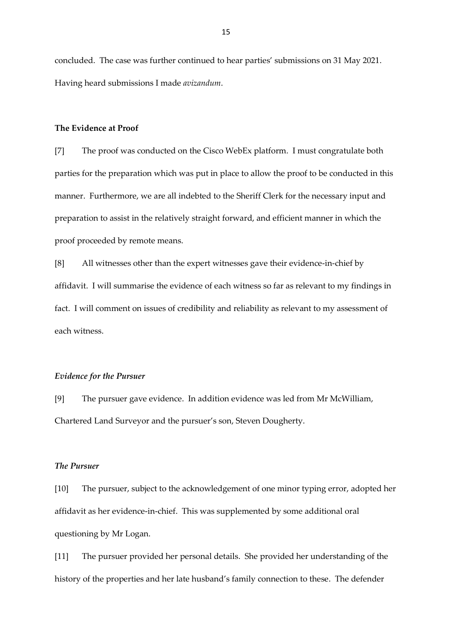concluded. The case was further continued to hear parties' submissions on 31 May 2021. Having heard submissions I made *avizandum*.

#### **The Evidence at Proof**

[7] The proof was conducted on the Cisco WebEx platform. I must congratulate both parties for the preparation which was put in place to allow the proof to be conducted in this manner. Furthermore, we are all indebted to the Sheriff Clerk for the necessary input and preparation to assist in the relatively straight forward, and efficient manner in which the proof proceeded by remote means.

[8] All witnesses other than the expert witnesses gave their evidence-in-chief by affidavit. I will summarise the evidence of each witness so far as relevant to my findings in fact. I will comment on issues of credibility and reliability as relevant to my assessment of each witness.

#### *Evidence for the Pursuer*

[9] The pursuer gave evidence. In addition evidence was led from Mr McWilliam, Chartered Land Surveyor and the pursuer's son, Steven Dougherty.

## *The Pursuer*

[10] The pursuer, subject to the acknowledgement of one minor typing error, adopted her affidavit as her evidence-in-chief. This was supplemented by some additional oral questioning by Mr Logan.

[11] The pursuer provided her personal details. She provided her understanding of the history of the properties and her late husband's family connection to these. The defender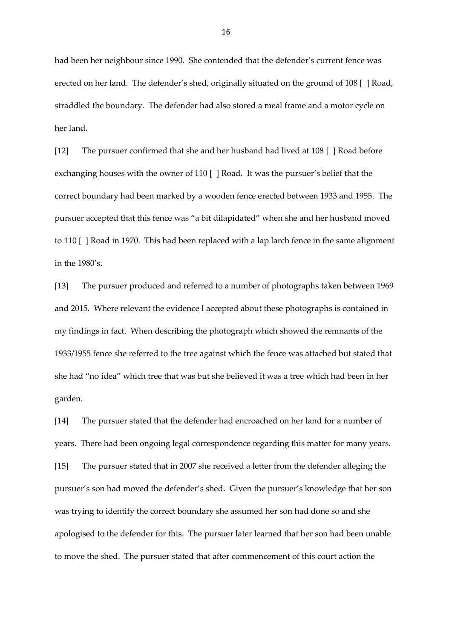had been her neighbour since 1990. She contended that the defender's current fence was erected on her land. The defender's shed, originally situated on the ground of 108 [ ] Road, straddled the boundary. The defender had also stored a meal frame and a motor cycle on her land.

[12] The pursuer confirmed that she and her husband had lived at 108 [ ] Road before exchanging houses with the owner of 110 [ ] Road. It was the pursuer's belief that the correct boundary had been marked by a wooden fence erected between 1933 and 1955. The pursuer accepted that this fence was "a bit dilapidated" when she and her husband moved to 110 [ ] Road in 1970. This had been replaced with a lap larch fence in the same alignment in the 1980's.

[13] The pursuer produced and referred to a number of photographs taken between 1969 and 2015. Where relevant the evidence I accepted about these photographs is contained in my findings in fact. When describing the photograph which showed the remnants of the 1933/1955 fence she referred to the tree against which the fence was attached but stated that she had "no idea" which tree that was but she believed it was a tree which had been in her garden.

[14] The pursuer stated that the defender had encroached on her land for a number of years. There had been ongoing legal correspondence regarding this matter for many years. [15] The pursuer stated that in 2007 she received a letter from the defender alleging the pursuer's son had moved the defender's shed. Given the pursuer's knowledge that her son was trying to identify the correct boundary she assumed her son had done so and she apologised to the defender for this. The pursuer later learned that her son had been unable to move the shed. The pursuer stated that after commencement of this court action the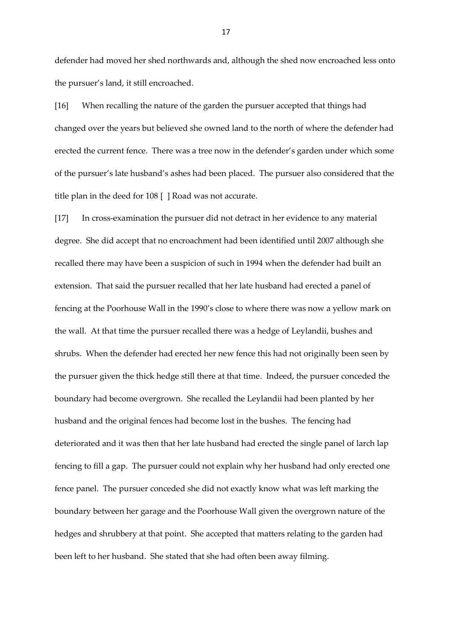defender had moved her shed northwards and, although the shed now encroached less onto the pursuer's land, it still encroached.

[16] When recalling the nature of the garden the pursuer accepted that things had changed over the years but believed she owned land to the north of where the defender had erected the current fence. There was a tree now in the defender's garden under which some of the pursuer's late husband's ashes had been placed. The pursuer also considered that the title plan in the deed for 108 [ ] Road was not accurate.

[17] In cross-examination the pursuer did not detract in her evidence to any material degree. She did accept that no encroachment had been identified until 2007 although she recalled there may have been a suspicion of such in 1994 when the defender had built an extension. That said the pursuer recalled that her late husband had erected a panel of fencing at the Poorhouse Wall in the 1990's close to where there was now a yellow mark on the wall. At that time the pursuer recalled there was a hedge of Leylandii, bushes and shrubs. When the defender had erected her new fence this had not originally been seen by the pursuer given the thick hedge still there at that time. Indeed, the pursuer conceded the boundary had become overgrown. She recalled the Leylandii had been planted by her husband and the original fences had become lost in the bushes. The fencing had deteriorated and it was then that her late husband had erected the single panel of larch lap fencing to fill a gap. The pursuer could not explain why her husband had only erected one fence panel. The pursuer conceded she did not exactly know what was left marking the boundary between her garage and the Poorhouse Wall given the overgrown nature of the hedges and shrubbery at that point. She accepted that matters relating to the garden had been left to her husband. She stated that she had often been away filming.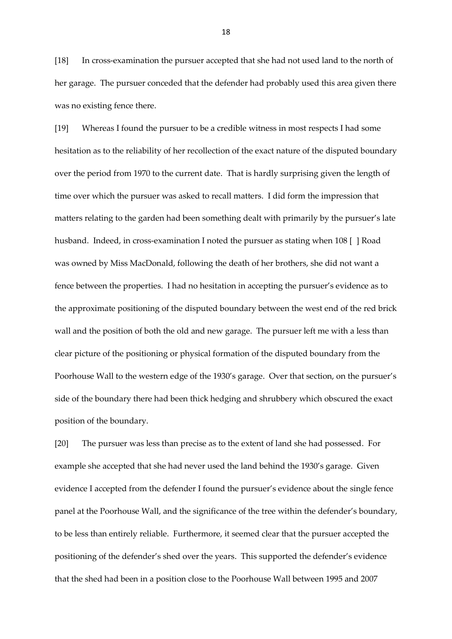[18] In cross-examination the pursuer accepted that she had not used land to the north of her garage. The pursuer conceded that the defender had probably used this area given there was no existing fence there.

[19] Whereas I found the pursuer to be a credible witness in most respects I had some hesitation as to the reliability of her recollection of the exact nature of the disputed boundary over the period from 1970 to the current date. That is hardly surprising given the length of time over which the pursuer was asked to recall matters. I did form the impression that matters relating to the garden had been something dealt with primarily by the pursuer's late husband. Indeed, in cross-examination I noted the pursuer as stating when 108 [ ] Road was owned by Miss MacDonald, following the death of her brothers, she did not want a fence between the properties. I had no hesitation in accepting the pursuer's evidence as to the approximate positioning of the disputed boundary between the west end of the red brick wall and the position of both the old and new garage. The pursuer left me with a less than clear picture of the positioning or physical formation of the disputed boundary from the Poorhouse Wall to the western edge of the 1930's garage. Over that section, on the pursuer's side of the boundary there had been thick hedging and shrubbery which obscured the exact position of the boundary.

[20] The pursuer was less than precise as to the extent of land she had possessed. For example she accepted that she had never used the land behind the 1930's garage. Given evidence I accepted from the defender I found the pursuer's evidence about the single fence panel at the Poorhouse Wall, and the significance of the tree within the defender's boundary, to be less than entirely reliable. Furthermore, it seemed clear that the pursuer accepted the positioning of the defender's shed over the years. This supported the defender's evidence that the shed had been in a position close to the Poorhouse Wall between 1995 and 2007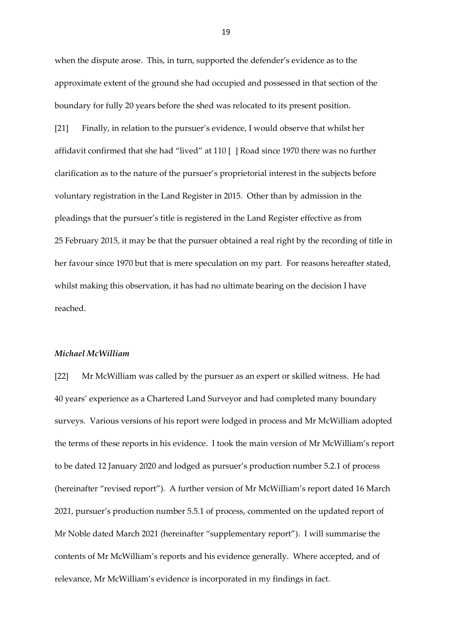when the dispute arose. This, in turn, supported the defender's evidence as to the approximate extent of the ground she had occupied and possessed in that section of the boundary for fully 20 years before the shed was relocated to its present position.

[21] Finally, in relation to the pursuer's evidence, I would observe that whilst her affidavit confirmed that she had "lived" at 110 [ ] Road since 1970 there was no further clarification as to the nature of the pursuer's proprietorial interest in the subjects before voluntary registration in the Land Register in 2015. Other than by admission in the pleadings that the pursuer's title is registered in the Land Register effective as from 25 February 2015, it may be that the pursuer obtained a real right by the recording of title in her favour since 1970 but that is mere speculation on my part. For reasons hereafter stated, whilst making this observation, it has had no ultimate bearing on the decision I have reached.

#### *Michael McWilliam*

[22] Mr McWilliam was called by the pursuer as an expert or skilled witness. He had 40 years' experience as a Chartered Land Surveyor and had completed many boundary surveys. Various versions of his report were lodged in process and Mr McWilliam adopted the terms of these reports in his evidence. I took the main version of Mr McWilliam's report to be dated 12 January 2020 and lodged as pursuer's production number 5.2.1 of process (hereinafter "revised report"). A further version of Mr McWilliam's report dated 16 March 2021, pursuer's production number 5.5.1 of process, commented on the updated report of Mr Noble dated March 2021 (hereinafter "supplementary report"). I will summarise the contents of Mr McWilliam's reports and his evidence generally. Where accepted, and of relevance, Mr McWilliam's evidence is incorporated in my findings in fact.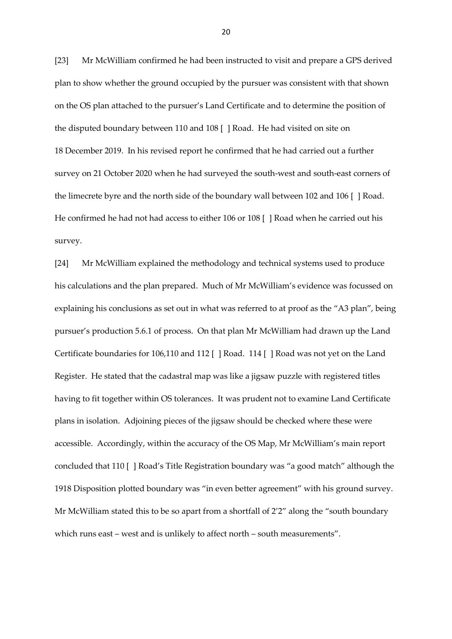[23] Mr McWilliam confirmed he had been instructed to visit and prepare a GPS derived plan to show whether the ground occupied by the pursuer was consistent with that shown on the OS plan attached to the pursuer's Land Certificate and to determine the position of the disputed boundary between 110 and 108 [ ] Road. He had visited on site on 18 December 2019. In his revised report he confirmed that he had carried out a further survey on 21 October 2020 when he had surveyed the south-west and south-east corners of the limecrete byre and the north side of the boundary wall between 102 and 106 [ ] Road. He confirmed he had not had access to either 106 or 108 [ ] Road when he carried out his survey.

[24] Mr McWilliam explained the methodology and technical systems used to produce his calculations and the plan prepared. Much of Mr McWilliam's evidence was focussed on explaining his conclusions as set out in what was referred to at proof as the "A3 plan", being pursuer's production 5.6.1 of process. On that plan Mr McWilliam had drawn up the Land Certificate boundaries for 106,110 and 112 [ ] Road. 114 [ ] Road was not yet on the Land Register. He stated that the cadastral map was like a jigsaw puzzle with registered titles having to fit together within OS tolerances. It was prudent not to examine Land Certificate plans in isolation. Adjoining pieces of the jigsaw should be checked where these were accessible. Accordingly, within the accuracy of the OS Map, Mr McWilliam's main report concluded that 110 [ ] Road's Title Registration boundary was "a good match" although the 1918 Disposition plotted boundary was "in even better agreement" with his ground survey. Mr McWilliam stated this to be so apart from a shortfall of 2'2" along the "south boundary which runs east – west and is unlikely to affect north – south measurements".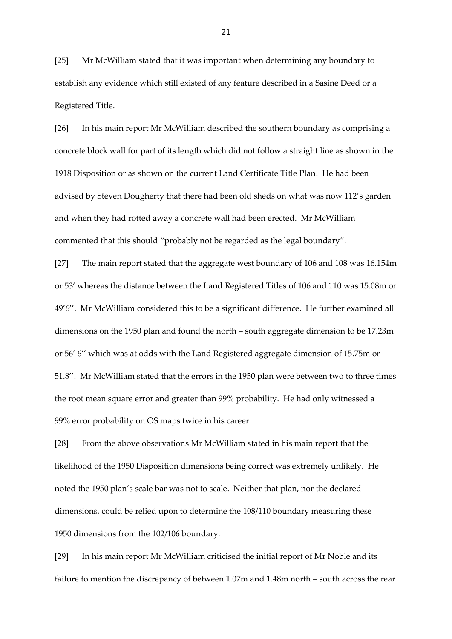[25] Mr McWilliam stated that it was important when determining any boundary to establish any evidence which still existed of any feature described in a Sasine Deed or a Registered Title.

[26] In his main report Mr McWilliam described the southern boundary as comprising a concrete block wall for part of its length which did not follow a straight line as shown in the 1918 Disposition or as shown on the current Land Certificate Title Plan. He had been advised by Steven Dougherty that there had been old sheds on what was now 112's garden and when they had rotted away a concrete wall had been erected. Mr McWilliam commented that this should "probably not be regarded as the legal boundary".

[27] The main report stated that the aggregate west boundary of 106 and 108 was 16.154m or 53' whereas the distance between the Land Registered Titles of 106 and 110 was 15.08m or 49'6''. Mr McWilliam considered this to be a significant difference. He further examined all dimensions on the 1950 plan and found the north – south aggregate dimension to be 17.23m or 56' 6'' which was at odds with the Land Registered aggregate dimension of 15.75m or 51.8''. Mr McWilliam stated that the errors in the 1950 plan were between two to three times the root mean square error and greater than 99% probability. He had only witnessed a 99% error probability on OS maps twice in his career.

[28] From the above observations Mr McWilliam stated in his main report that the likelihood of the 1950 Disposition dimensions being correct was extremely unlikely. He noted the 1950 plan's scale bar was not to scale. Neither that plan, nor the declared dimensions, could be relied upon to determine the 108/110 boundary measuring these 1950 dimensions from the 102/106 boundary.

[29] In his main report Mr McWilliam criticised the initial report of Mr Noble and its failure to mention the discrepancy of between 1.07m and 1.48m north – south across the rear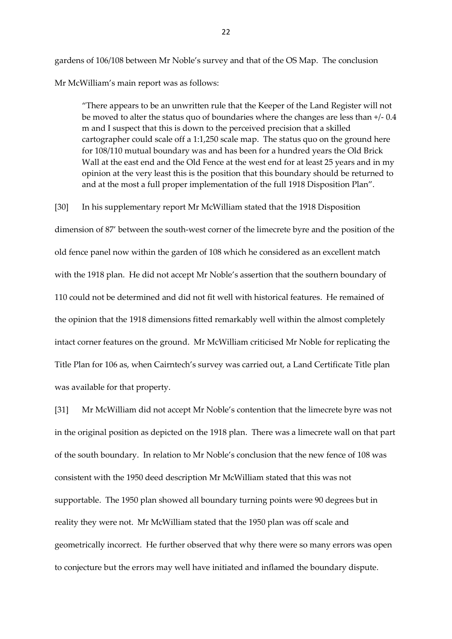gardens of 106/108 between Mr Noble's survey and that of the OS Map. The conclusion Mr McWilliam's main report was as follows:

"There appears to be an unwritten rule that the Keeper of the Land Register will not be moved to alter the status quo of boundaries where the changes are less than +/- 0.4 m and I suspect that this is down to the perceived precision that a skilled cartographer could scale off a 1:1,250 scale map. The status quo on the ground here for 108/110 mutual boundary was and has been for a hundred years the Old Brick Wall at the east end and the Old Fence at the west end for at least 25 years and in my opinion at the very least this is the position that this boundary should be returned to and at the most a full proper implementation of the full 1918 Disposition Plan".

[30] In his supplementary report Mr McWilliam stated that the 1918 Disposition

dimension of 87' between the south-west corner of the limecrete byre and the position of the old fence panel now within the garden of 108 which he considered as an excellent match with the 1918 plan. He did not accept Mr Noble's assertion that the southern boundary of 110 could not be determined and did not fit well with historical features. He remained of the opinion that the 1918 dimensions fitted remarkably well within the almost completely intact corner features on the ground. Mr McWilliam criticised Mr Noble for replicating the Title Plan for 106 as, when Cairntech's survey was carried out, a Land Certificate Title plan was available for that property.

[31] Mr McWilliam did not accept Mr Noble's contention that the limecrete byre was not in the original position as depicted on the 1918 plan. There was a limecrete wall on that part of the south boundary. In relation to Mr Noble's conclusion that the new fence of 108 was consistent with the 1950 deed description Mr McWilliam stated that this was not supportable. The 1950 plan showed all boundary turning points were 90 degrees but in reality they were not. Mr McWilliam stated that the 1950 plan was off scale and geometrically incorrect. He further observed that why there were so many errors was open to conjecture but the errors may well have initiated and inflamed the boundary dispute.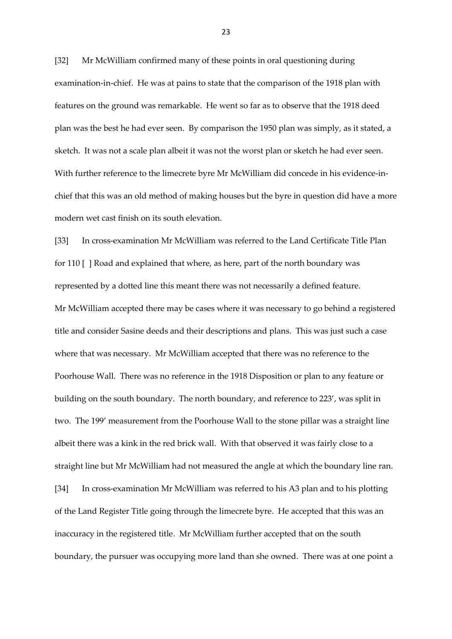[32] Mr McWilliam confirmed many of these points in oral questioning during examination-in-chief. He was at pains to state that the comparison of the 1918 plan with features on the ground was remarkable. He went so far as to observe that the 1918 deed plan was the best he had ever seen. By comparison the 1950 plan was simply, as it stated, a sketch. It was not a scale plan albeit it was not the worst plan or sketch he had ever seen. With further reference to the limecrete byre Mr McWilliam did concede in his evidence-inchief that this was an old method of making houses but the byre in question did have a more modern wet cast finish on its south elevation.

[33] In cross-examination Mr McWilliam was referred to the Land Certificate Title Plan for 110 [ ] Road and explained that where, as here, part of the north boundary was represented by a dotted line this meant there was not necessarily a defined feature. Mr McWilliam accepted there may be cases where it was necessary to go behind a registered title and consider Sasine deeds and their descriptions and plans. This was just such a case where that was necessary. Mr McWilliam accepted that there was no reference to the Poorhouse Wall. There was no reference in the 1918 Disposition or plan to any feature or building on the south boundary. The north boundary, and reference to 223', was split in two. The 199' measurement from the Poorhouse Wall to the stone pillar was a straight line albeit there was a kink in the red brick wall. With that observed it was fairly close to a straight line but Mr McWilliam had not measured the angle at which the boundary line ran. [34] In cross-examination Mr McWilliam was referred to his A3 plan and to his plotting of the Land Register Title going through the limecrete byre. He accepted that this was an inaccuracy in the registered title. Mr McWilliam further accepted that on the south boundary, the pursuer was occupying more land than she owned. There was at one point a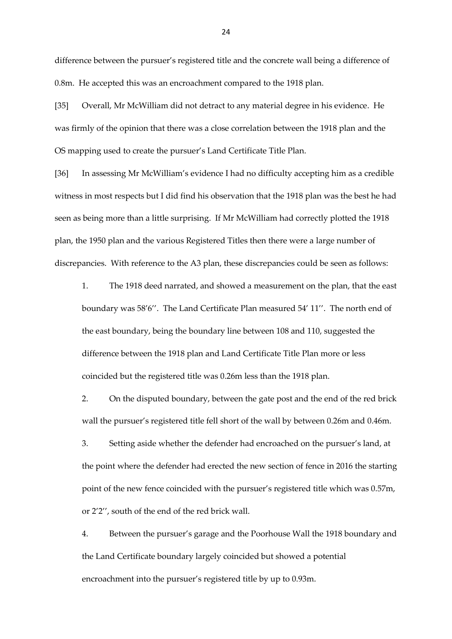difference between the pursuer's registered title and the concrete wall being a difference of 0.8m. He accepted this was an encroachment compared to the 1918 plan.

[35] Overall, Mr McWilliam did not detract to any material degree in his evidence. He was firmly of the opinion that there was a close correlation between the 1918 plan and the OS mapping used to create the pursuer's Land Certificate Title Plan.

[36] In assessing Mr McWilliam's evidence I had no difficulty accepting him as a credible witness in most respects but I did find his observation that the 1918 plan was the best he had seen as being more than a little surprising. If Mr McWilliam had correctly plotted the 1918 plan, the 1950 plan and the various Registered Titles then there were a large number of discrepancies. With reference to the A3 plan, these discrepancies could be seen as follows:

1. The 1918 deed narrated, and showed a measurement on the plan, that the east boundary was 58'6''. The Land Certificate Plan measured 54' 11''. The north end of the east boundary, being the boundary line between 108 and 110, suggested the difference between the 1918 plan and Land Certificate Title Plan more or less coincided but the registered title was 0.26m less than the 1918 plan.

2. On the disputed boundary, between the gate post and the end of the red brick wall the pursuer's registered title fell short of the wall by between 0.26m and 0.46m.

3. Setting aside whether the defender had encroached on the pursuer's land, at the point where the defender had erected the new section of fence in 2016 the starting point of the new fence coincided with the pursuer's registered title which was 0.57m, or 2'2'', south of the end of the red brick wall.

4. Between the pursuer's garage and the Poorhouse Wall the 1918 boundary and the Land Certificate boundary largely coincided but showed a potential encroachment into the pursuer's registered title by up to 0.93m.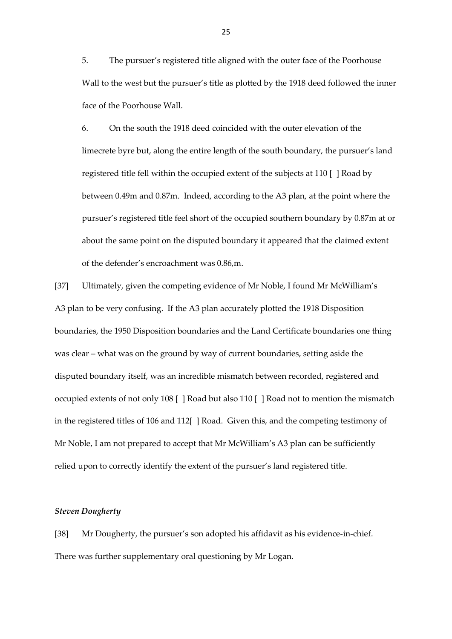5. The pursuer's registered title aligned with the outer face of the Poorhouse Wall to the west but the pursuer's title as plotted by the 1918 deed followed the inner face of the Poorhouse Wall.

6. On the south the 1918 deed coincided with the outer elevation of the limecrete byre but, along the entire length of the south boundary, the pursuer's land registered title fell within the occupied extent of the subjects at 110 [ ] Road by between 0.49m and 0.87m. Indeed, according to the A3 plan, at the point where the pursuer's registered title feel short of the occupied southern boundary by 0.87m at or about the same point on the disputed boundary it appeared that the claimed extent of the defender's encroachment was 0.86,m.

[37] Ultimately, given the competing evidence of Mr Noble, I found Mr McWilliam's A3 plan to be very confusing. If the A3 plan accurately plotted the 1918 Disposition boundaries, the 1950 Disposition boundaries and the Land Certificate boundaries one thing was clear – what was on the ground by way of current boundaries, setting aside the disputed boundary itself, was an incredible mismatch between recorded, registered and occupied extents of not only 108 [ ] Road but also 110 [ ] Road not to mention the mismatch in the registered titles of 106 and 112[ ] Road. Given this, and the competing testimony of Mr Noble, I am not prepared to accept that Mr McWilliam's A3 plan can be sufficiently relied upon to correctly identify the extent of the pursuer's land registered title.

## *Steven Dougherty*

[38] Mr Dougherty, the pursuer's son adopted his affidavit as his evidence-in-chief. There was further supplementary oral questioning by Mr Logan.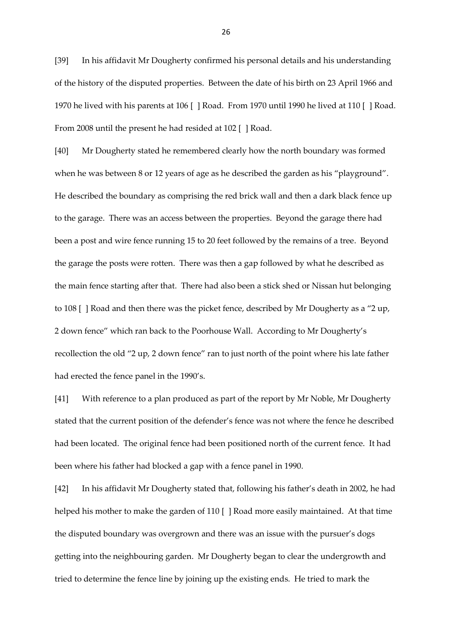[39] In his affidavit Mr Dougherty confirmed his personal details and his understanding of the history of the disputed properties. Between the date of his birth on 23 April 1966 and 1970 he lived with his parents at 106 [ ] Road. From 1970 until 1990 he lived at 110 [ ] Road. From 2008 until the present he had resided at 102 [ ] Road.

[40] Mr Dougherty stated he remembered clearly how the north boundary was formed when he was between 8 or 12 years of age as he described the garden as his "playground". He described the boundary as comprising the red brick wall and then a dark black fence up to the garage. There was an access between the properties. Beyond the garage there had been a post and wire fence running 15 to 20 feet followed by the remains of a tree. Beyond the garage the posts were rotten. There was then a gap followed by what he described as the main fence starting after that. There had also been a stick shed or Nissan hut belonging to 108 [ ] Road and then there was the picket fence, described by Mr Dougherty as a "2 up, 2 down fence" which ran back to the Poorhouse Wall. According to Mr Dougherty's recollection the old "2 up, 2 down fence" ran to just north of the point where his late father had erected the fence panel in the 1990's.

[41] With reference to a plan produced as part of the report by Mr Noble, Mr Dougherty stated that the current position of the defender's fence was not where the fence he described had been located. The original fence had been positioned north of the current fence. It had been where his father had blocked a gap with a fence panel in 1990.

[42] In his affidavit Mr Dougherty stated that, following his father's death in 2002, he had helped his mother to make the garden of 110 [ ] Road more easily maintained. At that time the disputed boundary was overgrown and there was an issue with the pursuer's dogs getting into the neighbouring garden. Mr Dougherty began to clear the undergrowth and tried to determine the fence line by joining up the existing ends. He tried to mark the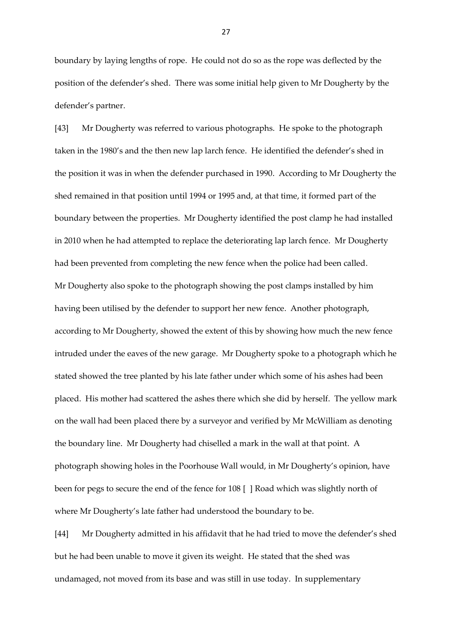boundary by laying lengths of rope. He could not do so as the rope was deflected by the position of the defender's shed. There was some initial help given to Mr Dougherty by the defender's partner.

[43] Mr Dougherty was referred to various photographs. He spoke to the photograph taken in the 1980's and the then new lap larch fence. He identified the defender's shed in the position it was in when the defender purchased in 1990. According to Mr Dougherty the shed remained in that position until 1994 or 1995 and, at that time, it formed part of the boundary between the properties. Mr Dougherty identified the post clamp he had installed in 2010 when he had attempted to replace the deteriorating lap larch fence. Mr Dougherty had been prevented from completing the new fence when the police had been called. Mr Dougherty also spoke to the photograph showing the post clamps installed by him having been utilised by the defender to support her new fence. Another photograph, according to Mr Dougherty, showed the extent of this by showing how much the new fence intruded under the eaves of the new garage. Mr Dougherty spoke to a photograph which he stated showed the tree planted by his late father under which some of his ashes had been placed. His mother had scattered the ashes there which she did by herself. The yellow mark on the wall had been placed there by a surveyor and verified by Mr McWilliam as denoting the boundary line. Mr Dougherty had chiselled a mark in the wall at that point. A photograph showing holes in the Poorhouse Wall would, in Mr Dougherty's opinion, have been for pegs to secure the end of the fence for 108 [ ] Road which was slightly north of where Mr Dougherty's late father had understood the boundary to be.

[44] Mr Dougherty admitted in his affidavit that he had tried to move the defender's shed but he had been unable to move it given its weight. He stated that the shed was undamaged, not moved from its base and was still in use today. In supplementary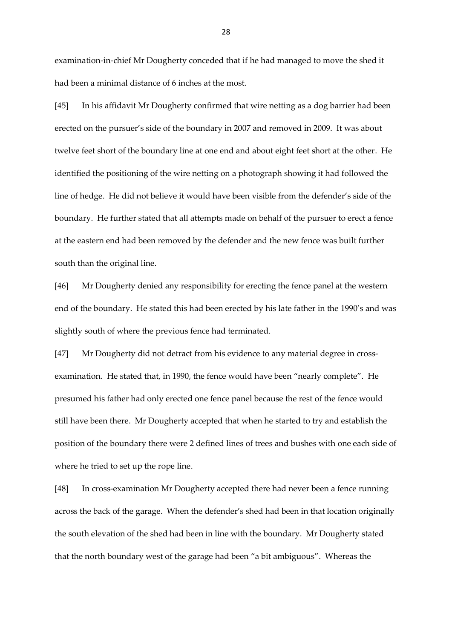examination-in-chief Mr Dougherty conceded that if he had managed to move the shed it had been a minimal distance of 6 inches at the most.

[45] In his affidavit Mr Dougherty confirmed that wire netting as a dog barrier had been erected on the pursuer's side of the boundary in 2007 and removed in 2009. It was about twelve feet short of the boundary line at one end and about eight feet short at the other. He identified the positioning of the wire netting on a photograph showing it had followed the line of hedge. He did not believe it would have been visible from the defender's side of the boundary. He further stated that all attempts made on behalf of the pursuer to erect a fence at the eastern end had been removed by the defender and the new fence was built further south than the original line.

[46] Mr Dougherty denied any responsibility for erecting the fence panel at the western end of the boundary. He stated this had been erected by his late father in the 1990's and was slightly south of where the previous fence had terminated.

[47] Mr Dougherty did not detract from his evidence to any material degree in crossexamination. He stated that, in 1990, the fence would have been "nearly complete". He presumed his father had only erected one fence panel because the rest of the fence would still have been there. Mr Dougherty accepted that when he started to try and establish the position of the boundary there were 2 defined lines of trees and bushes with one each side of where he tried to set up the rope line.

[48] In cross-examination Mr Dougherty accepted there had never been a fence running across the back of the garage. When the defender's shed had been in that location originally the south elevation of the shed had been in line with the boundary. Mr Dougherty stated that the north boundary west of the garage had been "a bit ambiguous". Whereas the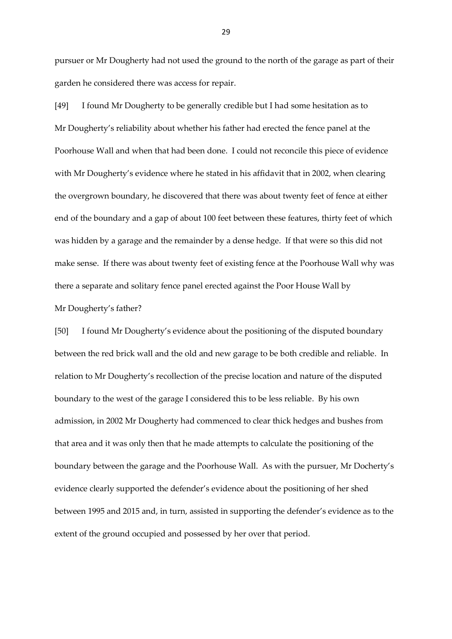pursuer or Mr Dougherty had not used the ground to the north of the garage as part of their garden he considered there was access for repair.

[49] I found Mr Dougherty to be generally credible but I had some hesitation as to Mr Dougherty's reliability about whether his father had erected the fence panel at the Poorhouse Wall and when that had been done. I could not reconcile this piece of evidence with Mr Dougherty's evidence where he stated in his affidavit that in 2002, when clearing the overgrown boundary, he discovered that there was about twenty feet of fence at either end of the boundary and a gap of about 100 feet between these features, thirty feet of which was hidden by a garage and the remainder by a dense hedge. If that were so this did not make sense. If there was about twenty feet of existing fence at the Poorhouse Wall why was there a separate and solitary fence panel erected against the Poor House Wall by

#### Mr Dougherty's father?

[50] I found Mr Dougherty's evidence about the positioning of the disputed boundary between the red brick wall and the old and new garage to be both credible and reliable. In relation to Mr Dougherty's recollection of the precise location and nature of the disputed boundary to the west of the garage I considered this to be less reliable. By his own admission, in 2002 Mr Dougherty had commenced to clear thick hedges and bushes from that area and it was only then that he made attempts to calculate the positioning of the boundary between the garage and the Poorhouse Wall. As with the pursuer, Mr Docherty's evidence clearly supported the defender's evidence about the positioning of her shed between 1995 and 2015 and, in turn, assisted in supporting the defender's evidence as to the extent of the ground occupied and possessed by her over that period.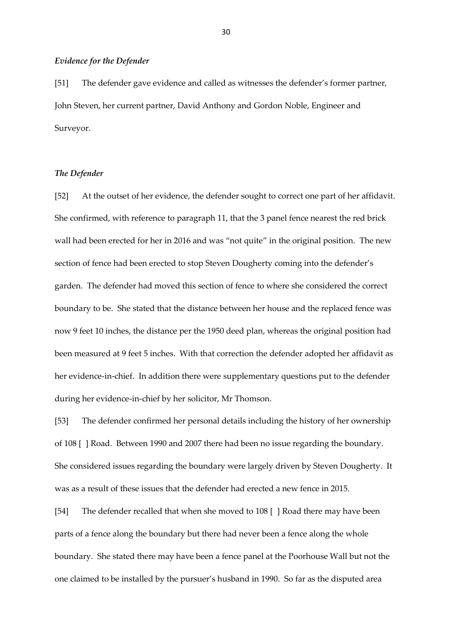## *Evidence for the Defender*

[51] The defender gave evidence and called as witnesses the defender's former partner, John Steven, her current partner, David Anthony and Gordon Noble, Engineer and Surveyor.

## *The Defender*

[52] At the outset of her evidence, the defender sought to correct one part of her affidavit. She confirmed, with reference to paragraph 11, that the 3 panel fence nearest the red brick wall had been erected for her in 2016 and was "not quite" in the original position. The new section of fence had been erected to stop Steven Dougherty coming into the defender's garden. The defender had moved this section of fence to where she considered the correct boundary to be. She stated that the distance between her house and the replaced fence was now 9 feet 10 inches, the distance per the 1950 deed plan, whereas the original position had been measured at 9 feet 5 inches. With that correction the defender adopted her affidavit as her evidence-in-chief. In addition there were supplementary questions put to the defender during her evidence-in-chief by her solicitor, Mr Thomson.

[53] The defender confirmed her personal details including the history of her ownership of 108 [ ] Road. Between 1990 and 2007 there had been no issue regarding the boundary. She considered issues regarding the boundary were largely driven by Steven Dougherty. It was as a result of these issues that the defender had erected a new fence in 2015.

[54] The defender recalled that when she moved to 108 [ ] Road there may have been parts of a fence along the boundary but there had never been a fence along the whole boundary. She stated there may have been a fence panel at the Poorhouse Wall but not the one claimed to be installed by the pursuer's husband in 1990. So far as the disputed area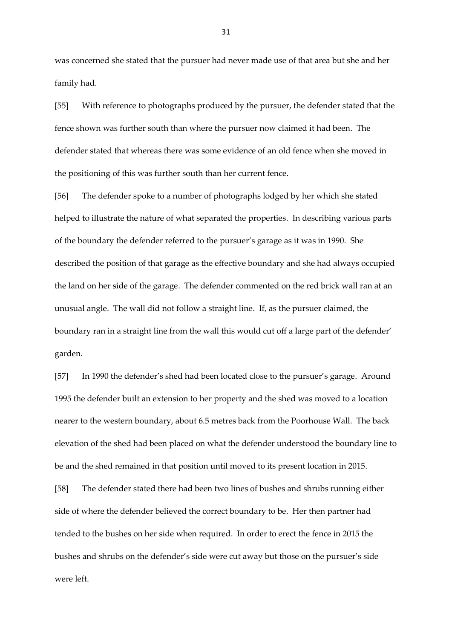was concerned she stated that the pursuer had never made use of that area but she and her family had.

[55] With reference to photographs produced by the pursuer, the defender stated that the fence shown was further south than where the pursuer now claimed it had been. The defender stated that whereas there was some evidence of an old fence when she moved in the positioning of this was further south than her current fence.

[56] The defender spoke to a number of photographs lodged by her which she stated helped to illustrate the nature of what separated the properties. In describing various parts of the boundary the defender referred to the pursuer's garage as it was in 1990. She described the position of that garage as the effective boundary and she had always occupied the land on her side of the garage. The defender commented on the red brick wall ran at an unusual angle. The wall did not follow a straight line. If, as the pursuer claimed, the boundary ran in a straight line from the wall this would cut off a large part of the defender' garden.

[57] In 1990 the defender's shed had been located close to the pursuer's garage. Around 1995 the defender built an extension to her property and the shed was moved to a location nearer to the western boundary, about 6.5 metres back from the Poorhouse Wall. The back elevation of the shed had been placed on what the defender understood the boundary line to be and the shed remained in that position until moved to its present location in 2015. [58] The defender stated there had been two lines of bushes and shrubs running either side of where the defender believed the correct boundary to be. Her then partner had

tended to the bushes on her side when required. In order to erect the fence in 2015 the bushes and shrubs on the defender's side were cut away but those on the pursuer's side were left.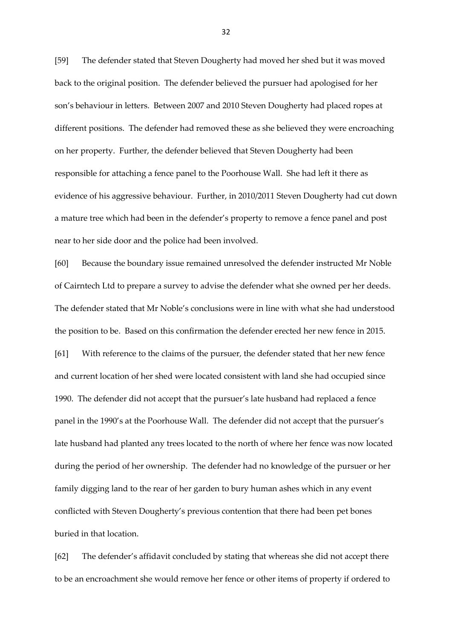[59] The defender stated that Steven Dougherty had moved her shed but it was moved back to the original position. The defender believed the pursuer had apologised for her son's behaviour in letters. Between 2007 and 2010 Steven Dougherty had placed ropes at different positions. The defender had removed these as she believed they were encroaching on her property. Further, the defender believed that Steven Dougherty had been responsible for attaching a fence panel to the Poorhouse Wall. She had left it there as evidence of his aggressive behaviour. Further, in 2010/2011 Steven Dougherty had cut down a mature tree which had been in the defender's property to remove a fence panel and post near to her side door and the police had been involved.

[60] Because the boundary issue remained unresolved the defender instructed Mr Noble of Cairntech Ltd to prepare a survey to advise the defender what she owned per her deeds. The defender stated that Mr Noble's conclusions were in line with what she had understood the position to be. Based on this confirmation the defender erected her new fence in 2015. [61] With reference to the claims of the pursuer, the defender stated that her new fence and current location of her shed were located consistent with land she had occupied since 1990. The defender did not accept that the pursuer's late husband had replaced a fence panel in the 1990's at the Poorhouse Wall. The defender did not accept that the pursuer's late husband had planted any trees located to the north of where her fence was now located during the period of her ownership. The defender had no knowledge of the pursuer or her family digging land to the rear of her garden to bury human ashes which in any event conflicted with Steven Dougherty's previous contention that there had been pet bones buried in that location.

[62] The defender's affidavit concluded by stating that whereas she did not accept there to be an encroachment she would remove her fence or other items of property if ordered to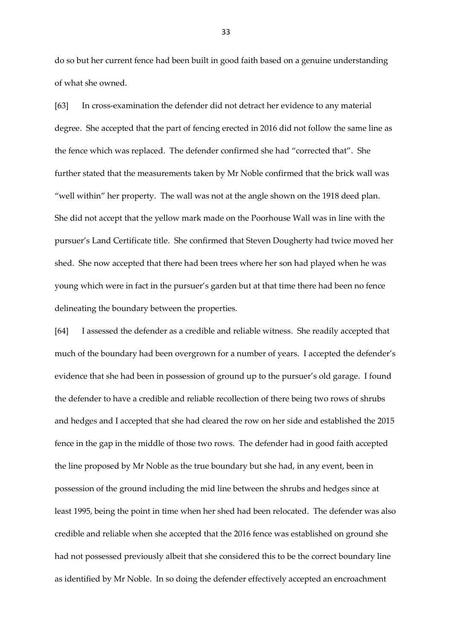do so but her current fence had been built in good faith based on a genuine understanding of what she owned.

[63] In cross-examination the defender did not detract her evidence to any material degree. She accepted that the part of fencing erected in 2016 did not follow the same line as the fence which was replaced. The defender confirmed she had "corrected that". She further stated that the measurements taken by Mr Noble confirmed that the brick wall was "well within" her property. The wall was not at the angle shown on the 1918 deed plan. She did not accept that the yellow mark made on the Poorhouse Wall was in line with the pursuer's Land Certificate title. She confirmed that Steven Dougherty had twice moved her shed. She now accepted that there had been trees where her son had played when he was young which were in fact in the pursuer's garden but at that time there had been no fence delineating the boundary between the properties.

[64] I assessed the defender as a credible and reliable witness. She readily accepted that much of the boundary had been overgrown for a number of years. I accepted the defender's evidence that she had been in possession of ground up to the pursuer's old garage. I found the defender to have a credible and reliable recollection of there being two rows of shrubs and hedges and I accepted that she had cleared the row on her side and established the 2015 fence in the gap in the middle of those two rows. The defender had in good faith accepted the line proposed by Mr Noble as the true boundary but she had, in any event, been in possession of the ground including the mid line between the shrubs and hedges since at least 1995, being the point in time when her shed had been relocated. The defender was also credible and reliable when she accepted that the 2016 fence was established on ground she had not possessed previously albeit that she considered this to be the correct boundary line as identified by Mr Noble. In so doing the defender effectively accepted an encroachment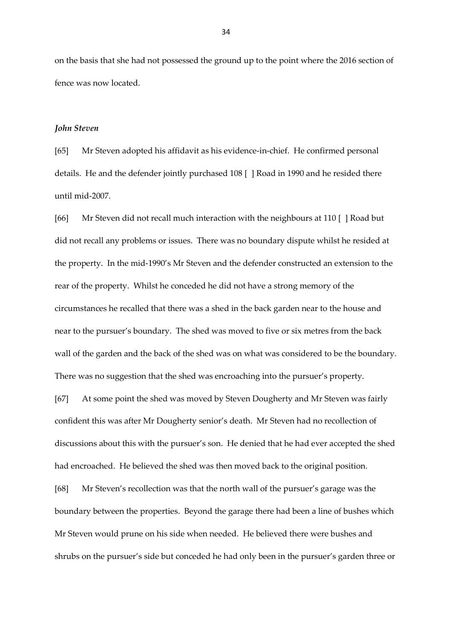on the basis that she had not possessed the ground up to the point where the 2016 section of fence was now located.

## *John Steven*

[65] Mr Steven adopted his affidavit as his evidence-in-chief. He confirmed personal details. He and the defender jointly purchased 108 [ ] Road in 1990 and he resided there until mid-2007.

[66] Mr Steven did not recall much interaction with the neighbours at 110 [ ] Road but did not recall any problems or issues. There was no boundary dispute whilst he resided at the property. In the mid-1990's Mr Steven and the defender constructed an extension to the rear of the property. Whilst he conceded he did not have a strong memory of the circumstances he recalled that there was a shed in the back garden near to the house and near to the pursuer's boundary. The shed was moved to five or six metres from the back wall of the garden and the back of the shed was on what was considered to be the boundary. There was no suggestion that the shed was encroaching into the pursuer's property.

[67] At some point the shed was moved by Steven Dougherty and Mr Steven was fairly confident this was after Mr Dougherty senior's death. Mr Steven had no recollection of discussions about this with the pursuer's son. He denied that he had ever accepted the shed had encroached. He believed the shed was then moved back to the original position.

[68] Mr Steven's recollection was that the north wall of the pursuer's garage was the boundary between the properties. Beyond the garage there had been a line of bushes which Mr Steven would prune on his side when needed. He believed there were bushes and shrubs on the pursuer's side but conceded he had only been in the pursuer's garden three or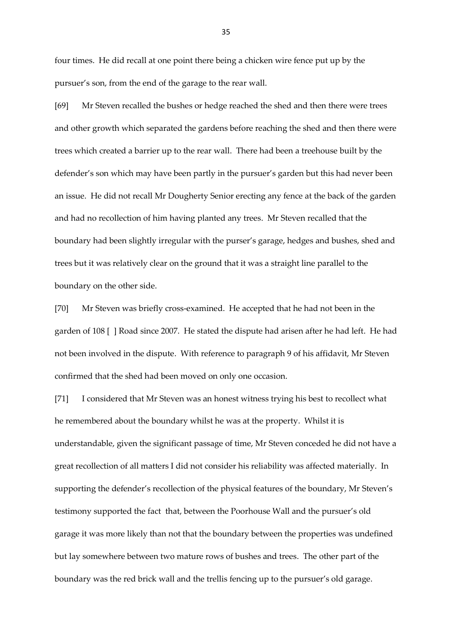four times. He did recall at one point there being a chicken wire fence put up by the pursuer's son, from the end of the garage to the rear wall.

[69] Mr Steven recalled the bushes or hedge reached the shed and then there were trees and other growth which separated the gardens before reaching the shed and then there were trees which created a barrier up to the rear wall. There had been a treehouse built by the defender's son which may have been partly in the pursuer's garden but this had never been an issue. He did not recall Mr Dougherty Senior erecting any fence at the back of the garden and had no recollection of him having planted any trees. Mr Steven recalled that the boundary had been slightly irregular with the purser's garage, hedges and bushes, shed and trees but it was relatively clear on the ground that it was a straight line parallel to the boundary on the other side.

[70] Mr Steven was briefly cross-examined. He accepted that he had not been in the garden of 108 [ ] Road since 2007. He stated the dispute had arisen after he had left. He had not been involved in the dispute. With reference to paragraph 9 of his affidavit, Mr Steven confirmed that the shed had been moved on only one occasion.

[71] I considered that Mr Steven was an honest witness trying his best to recollect what he remembered about the boundary whilst he was at the property. Whilst it is understandable, given the significant passage of time, Mr Steven conceded he did not have a great recollection of all matters I did not consider his reliability was affected materially. In supporting the defender's recollection of the physical features of the boundary, Mr Steven's testimony supported the fact that, between the Poorhouse Wall and the pursuer's old garage it was more likely than not that the boundary between the properties was undefined but lay somewhere between two mature rows of bushes and trees. The other part of the boundary was the red brick wall and the trellis fencing up to the pursuer's old garage.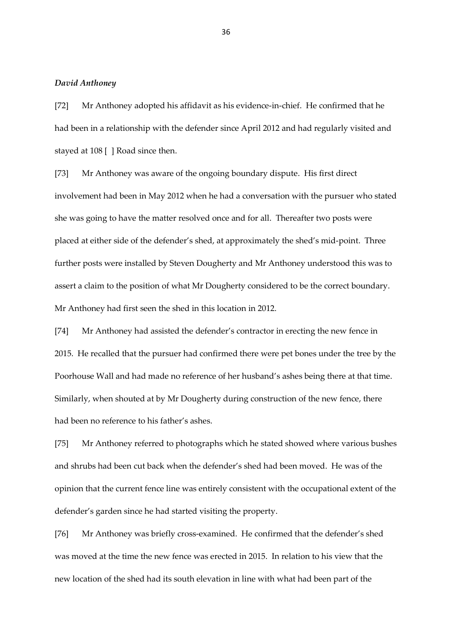## *David Anthoney*

[72] Mr Anthoney adopted his affidavit as his evidence-in-chief. He confirmed that he had been in a relationship with the defender since April 2012 and had regularly visited and stayed at 108 [ ] Road since then.

[73] Mr Anthoney was aware of the ongoing boundary dispute. His first direct involvement had been in May 2012 when he had a conversation with the pursuer who stated she was going to have the matter resolved once and for all. Thereafter two posts were placed at either side of the defender's shed, at approximately the shed's mid-point. Three further posts were installed by Steven Dougherty and Mr Anthoney understood this was to assert a claim to the position of what Mr Dougherty considered to be the correct boundary. Mr Anthoney had first seen the shed in this location in 2012.

[74] Mr Anthoney had assisted the defender's contractor in erecting the new fence in 2015. He recalled that the pursuer had confirmed there were pet bones under the tree by the Poorhouse Wall and had made no reference of her husband's ashes being there at that time. Similarly, when shouted at by Mr Dougherty during construction of the new fence, there had been no reference to his father's ashes.

[75] Mr Anthoney referred to photographs which he stated showed where various bushes and shrubs had been cut back when the defender's shed had been moved. He was of the opinion that the current fence line was entirely consistent with the occupational extent of the defender's garden since he had started visiting the property.

[76] Mr Anthoney was briefly cross-examined. He confirmed that the defender's shed was moved at the time the new fence was erected in 2015. In relation to his view that the new location of the shed had its south elevation in line with what had been part of the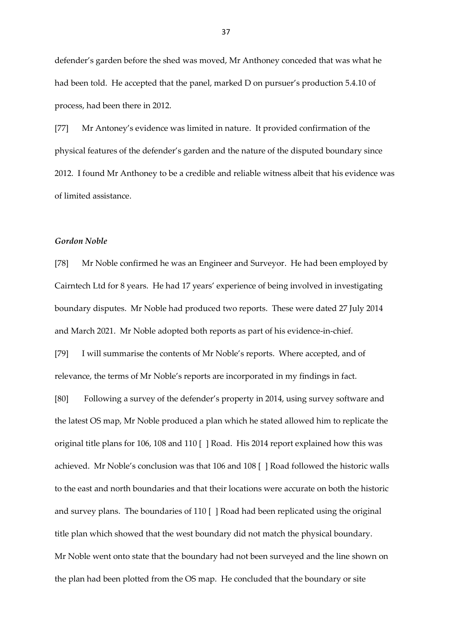defender's garden before the shed was moved, Mr Anthoney conceded that was what he had been told. He accepted that the panel, marked D on pursuer's production 5.4.10 of process, had been there in 2012.

[77] Mr Antoney's evidence was limited in nature. It provided confirmation of the physical features of the defender's garden and the nature of the disputed boundary since 2012. I found Mr Anthoney to be a credible and reliable witness albeit that his evidence was of limited assistance.

## *Gordon Noble*

[78] Mr Noble confirmed he was an Engineer and Surveyor. He had been employed by Cairntech Ltd for 8 years. He had 17 years' experience of being involved in investigating boundary disputes. Mr Noble had produced two reports. These were dated 27 July 2014 and March 2021. Mr Noble adopted both reports as part of his evidence-in-chief.

[79] I will summarise the contents of Mr Noble's reports. Where accepted, and of relevance, the terms of Mr Noble's reports are incorporated in my findings in fact.

[80] Following a survey of the defender's property in 2014, using survey software and the latest OS map, Mr Noble produced a plan which he stated allowed him to replicate the original title plans for 106, 108 and 110 [ ] Road. His 2014 report explained how this was achieved. Mr Noble's conclusion was that 106 and 108 [ ] Road followed the historic walls to the east and north boundaries and that their locations were accurate on both the historic and survey plans. The boundaries of 110 [ ] Road had been replicated using the original title plan which showed that the west boundary did not match the physical boundary. Mr Noble went onto state that the boundary had not been surveyed and the line shown on the plan had been plotted from the OS map. He concluded that the boundary or site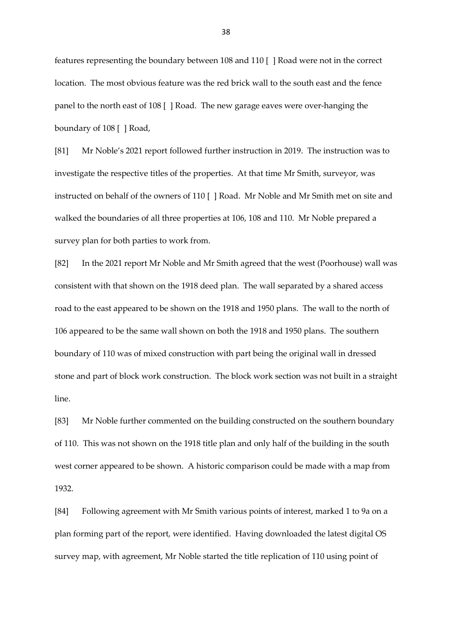features representing the boundary between 108 and 110 [ ] Road were not in the correct location. The most obvious feature was the red brick wall to the south east and the fence panel to the north east of 108 [ ] Road. The new garage eaves were over-hanging the boundary of 108 [ ] Road,

[81] Mr Noble's 2021 report followed further instruction in 2019. The instruction was to investigate the respective titles of the properties. At that time Mr Smith, surveyor, was instructed on behalf of the owners of 110 [ ] Road. Mr Noble and Mr Smith met on site and walked the boundaries of all three properties at 106, 108 and 110. Mr Noble prepared a survey plan for both parties to work from.

[82] In the 2021 report Mr Noble and Mr Smith agreed that the west (Poorhouse) wall was consistent with that shown on the 1918 deed plan. The wall separated by a shared access road to the east appeared to be shown on the 1918 and 1950 plans. The wall to the north of 106 appeared to be the same wall shown on both the 1918 and 1950 plans. The southern boundary of 110 was of mixed construction with part being the original wall in dressed stone and part of block work construction. The block work section was not built in a straight line.

[83] Mr Noble further commented on the building constructed on the southern boundary of 110. This was not shown on the 1918 title plan and only half of the building in the south west corner appeared to be shown. A historic comparison could be made with a map from 1932.

[84] Following agreement with Mr Smith various points of interest, marked 1 to 9a on a plan forming part of the report, were identified. Having downloaded the latest digital OS survey map, with agreement, Mr Noble started the title replication of 110 using point of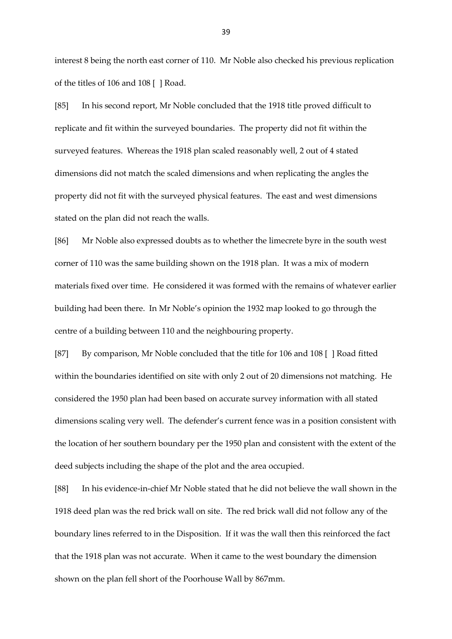interest 8 being the north east corner of 110. Mr Noble also checked his previous replication of the titles of 106 and 108 [ ] Road.

[85] In his second report, Mr Noble concluded that the 1918 title proved difficult to replicate and fit within the surveyed boundaries. The property did not fit within the surveyed features. Whereas the 1918 plan scaled reasonably well, 2 out of 4 stated dimensions did not match the scaled dimensions and when replicating the angles the property did not fit with the surveyed physical features. The east and west dimensions stated on the plan did not reach the walls.

[86] Mr Noble also expressed doubts as to whether the limecrete byre in the south west corner of 110 was the same building shown on the 1918 plan. It was a mix of modern materials fixed over time. He considered it was formed with the remains of whatever earlier building had been there. In Mr Noble's opinion the 1932 map looked to go through the centre of a building between 110 and the neighbouring property.

[87] By comparison, Mr Noble concluded that the title for 106 and 108 [ ] Road fitted within the boundaries identified on site with only 2 out of 20 dimensions not matching. He considered the 1950 plan had been based on accurate survey information with all stated dimensions scaling very well. The defender's current fence was in a position consistent with the location of her southern boundary per the 1950 plan and consistent with the extent of the deed subjects including the shape of the plot and the area occupied.

[88] In his evidence-in-chief Mr Noble stated that he did not believe the wall shown in the 1918 deed plan was the red brick wall on site. The red brick wall did not follow any of the boundary lines referred to in the Disposition. If it was the wall then this reinforced the fact that the 1918 plan was not accurate. When it came to the west boundary the dimension shown on the plan fell short of the Poorhouse Wall by 867mm.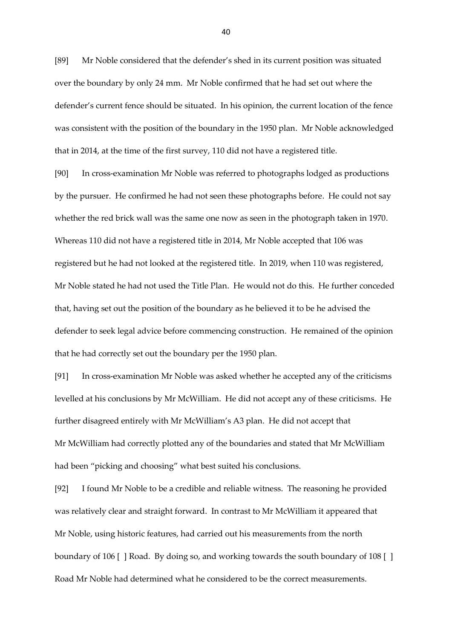[89] Mr Noble considered that the defender's shed in its current position was situated over the boundary by only 24 mm. Mr Noble confirmed that he had set out where the defender's current fence should be situated. In his opinion, the current location of the fence was consistent with the position of the boundary in the 1950 plan. Mr Noble acknowledged that in 2014, at the time of the first survey, 110 did not have a registered title.

[90] In cross-examination Mr Noble was referred to photographs lodged as productions by the pursuer. He confirmed he had not seen these photographs before. He could not say whether the red brick wall was the same one now as seen in the photograph taken in 1970. Whereas 110 did not have a registered title in 2014, Mr Noble accepted that 106 was registered but he had not looked at the registered title. In 2019, when 110 was registered, Mr Noble stated he had not used the Title Plan. He would not do this. He further conceded that, having set out the position of the boundary as he believed it to be he advised the defender to seek legal advice before commencing construction. He remained of the opinion that he had correctly set out the boundary per the 1950 plan.

[91] In cross-examination Mr Noble was asked whether he accepted any of the criticisms levelled at his conclusions by Mr McWilliam. He did not accept any of these criticisms. He further disagreed entirely with Mr McWilliam's A3 plan. He did not accept that Mr McWilliam had correctly plotted any of the boundaries and stated that Mr McWilliam had been "picking and choosing" what best suited his conclusions.

[92] I found Mr Noble to be a credible and reliable witness. The reasoning he provided was relatively clear and straight forward. In contrast to Mr McWilliam it appeared that Mr Noble, using historic features, had carried out his measurements from the north boundary of 106 [ ] Road. By doing so, and working towards the south boundary of 108 [ ] Road Mr Noble had determined what he considered to be the correct measurements.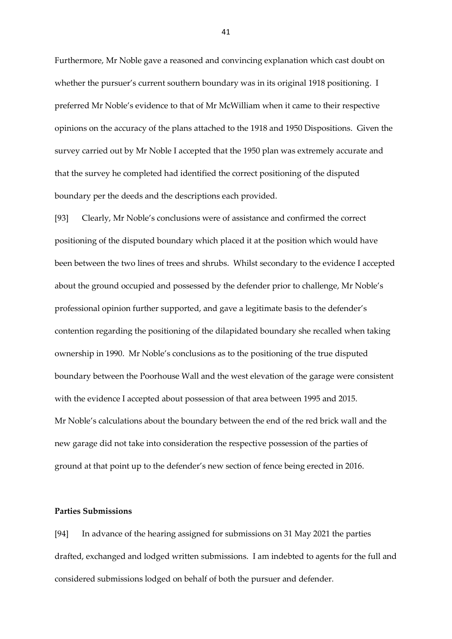Furthermore, Mr Noble gave a reasoned and convincing explanation which cast doubt on whether the pursuer's current southern boundary was in its original 1918 positioning. I preferred Mr Noble's evidence to that of Mr McWilliam when it came to their respective opinions on the accuracy of the plans attached to the 1918 and 1950 Dispositions. Given the survey carried out by Mr Noble I accepted that the 1950 plan was extremely accurate and that the survey he completed had identified the correct positioning of the disputed boundary per the deeds and the descriptions each provided.

[93] Clearly, Mr Noble's conclusions were of assistance and confirmed the correct positioning of the disputed boundary which placed it at the position which would have been between the two lines of trees and shrubs. Whilst secondary to the evidence I accepted about the ground occupied and possessed by the defender prior to challenge, Mr Noble's professional opinion further supported, and gave a legitimate basis to the defender's contention regarding the positioning of the dilapidated boundary she recalled when taking ownership in 1990. Mr Noble's conclusions as to the positioning of the true disputed boundary between the Poorhouse Wall and the west elevation of the garage were consistent with the evidence I accepted about possession of that area between 1995 and 2015. Mr Noble's calculations about the boundary between the end of the red brick wall and the new garage did not take into consideration the respective possession of the parties of ground at that point up to the defender's new section of fence being erected in 2016.

## **Parties Submissions**

[94] In advance of the hearing assigned for submissions on 31 May 2021 the parties drafted, exchanged and lodged written submissions. I am indebted to agents for the full and considered submissions lodged on behalf of both the pursuer and defender.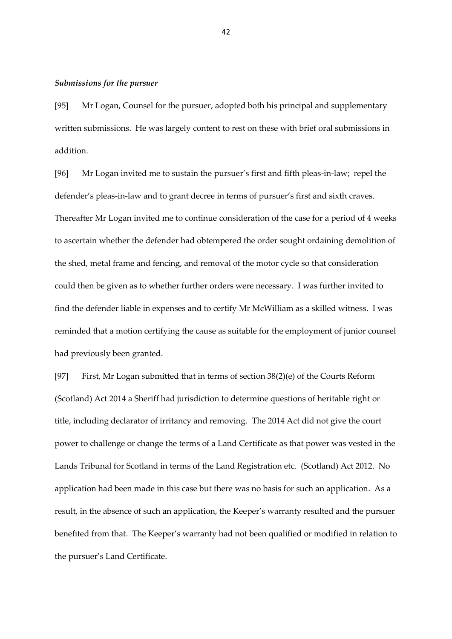#### *Submissions for the pursuer*

[95] Mr Logan, Counsel for the pursuer, adopted both his principal and supplementary written submissions. He was largely content to rest on these with brief oral submissions in addition.

[96] Mr Logan invited me to sustain the pursuer's first and fifth pleas-in-law; repel the defender's pleas-in-law and to grant decree in terms of pursuer's first and sixth craves. Thereafter Mr Logan invited me to continue consideration of the case for a period of 4 weeks to ascertain whether the defender had obtempered the order sought ordaining demolition of the shed, metal frame and fencing, and removal of the motor cycle so that consideration could then be given as to whether further orders were necessary. I was further invited to find the defender liable in expenses and to certify Mr McWilliam as a skilled witness. I was reminded that a motion certifying the cause as suitable for the employment of junior counsel had previously been granted.

[97] First, Mr Logan submitted that in terms of section 38(2)(e) of the Courts Reform (Scotland) Act 2014 a Sheriff had jurisdiction to determine questions of heritable right or title, including declarator of irritancy and removing. The 2014 Act did not give the court power to challenge or change the terms of a Land Certificate as that power was vested in the Lands Tribunal for Scotland in terms of the Land Registration etc. (Scotland) Act 2012. No application had been made in this case but there was no basis for such an application. As a result, in the absence of such an application, the Keeper's warranty resulted and the pursuer benefited from that. The Keeper's warranty had not been qualified or modified in relation to the pursuer's Land Certificate.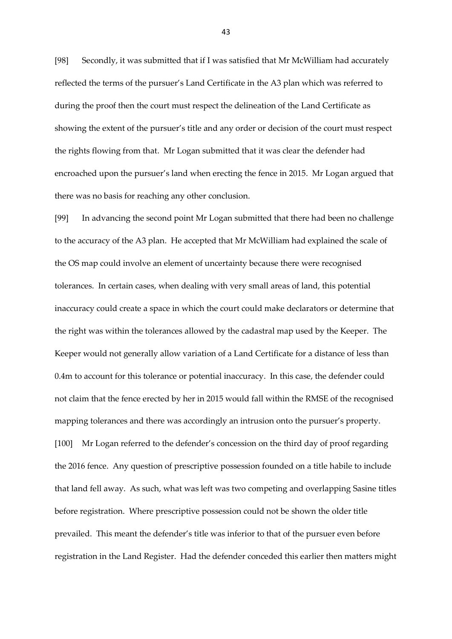[98] Secondly, it was submitted that if I was satisfied that Mr McWilliam had accurately reflected the terms of the pursuer's Land Certificate in the A3 plan which was referred to during the proof then the court must respect the delineation of the Land Certificate as showing the extent of the pursuer's title and any order or decision of the court must respect the rights flowing from that. Mr Logan submitted that it was clear the defender had encroached upon the pursuer's land when erecting the fence in 2015. Mr Logan argued that there was no basis for reaching any other conclusion.

[99] In advancing the second point Mr Logan submitted that there had been no challenge to the accuracy of the A3 plan. He accepted that Mr McWilliam had explained the scale of the OS map could involve an element of uncertainty because there were recognised tolerances. In certain cases, when dealing with very small areas of land, this potential inaccuracy could create a space in which the court could make declarators or determine that the right was within the tolerances allowed by the cadastral map used by the Keeper. The Keeper would not generally allow variation of a Land Certificate for a distance of less than 0.4m to account for this tolerance or potential inaccuracy. In this case, the defender could not claim that the fence erected by her in 2015 would fall within the RMSE of the recognised mapping tolerances and there was accordingly an intrusion onto the pursuer's property. [100] Mr Logan referred to the defender's concession on the third day of proof regarding the 2016 fence. Any question of prescriptive possession founded on a title habile to include that land fell away. As such, what was left was two competing and overlapping Sasine titles before registration. Where prescriptive possession could not be shown the older title prevailed. This meant the defender's title was inferior to that of the pursuer even before registration in the Land Register. Had the defender conceded this earlier then matters might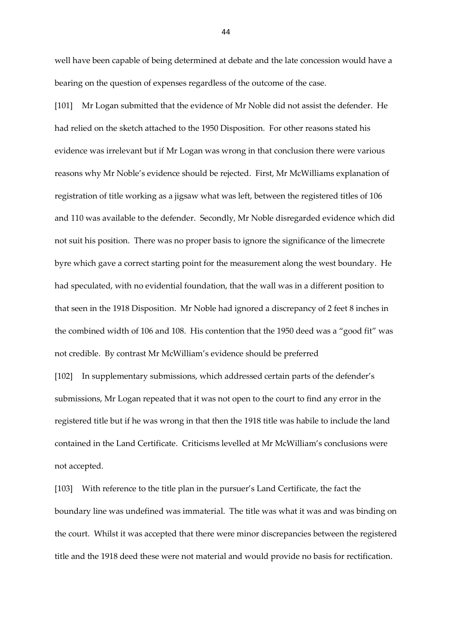well have been capable of being determined at debate and the late concession would have a bearing on the question of expenses regardless of the outcome of the case.

[101] Mr Logan submitted that the evidence of Mr Noble did not assist the defender. He had relied on the sketch attached to the 1950 Disposition. For other reasons stated his evidence was irrelevant but if Mr Logan was wrong in that conclusion there were various reasons why Mr Noble's evidence should be rejected. First, Mr McWilliams explanation of registration of title working as a jigsaw what was left, between the registered titles of 106 and 110 was available to the defender. Secondly, Mr Noble disregarded evidence which did not suit his position. There was no proper basis to ignore the significance of the limecrete byre which gave a correct starting point for the measurement along the west boundary. He had speculated, with no evidential foundation, that the wall was in a different position to that seen in the 1918 Disposition. Mr Noble had ignored a discrepancy of 2 feet 8 inches in the combined width of 106 and 108. His contention that the 1950 deed was a "good fit" was not credible. By contrast Mr McWilliam's evidence should be preferred

[102] In supplementary submissions, which addressed certain parts of the defender's submissions, Mr Logan repeated that it was not open to the court to find any error in the registered title but if he was wrong in that then the 1918 title was habile to include the land contained in the Land Certificate. Criticisms levelled at Mr McWilliam's conclusions were not accepted.

[103] With reference to the title plan in the pursuer's Land Certificate, the fact the boundary line was undefined was immaterial. The title was what it was and was binding on the court. Whilst it was accepted that there were minor discrepancies between the registered title and the 1918 deed these were not material and would provide no basis for rectification.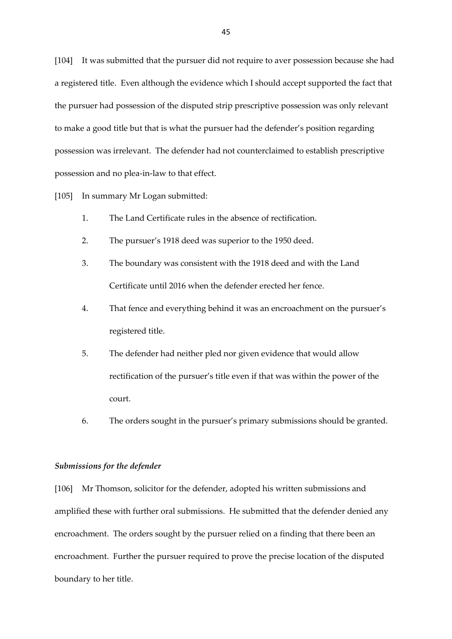[104] It was submitted that the pursuer did not require to aver possession because she had a registered title. Even although the evidence which I should accept supported the fact that the pursuer had possession of the disputed strip prescriptive possession was only relevant to make a good title but that is what the pursuer had the defender's position regarding possession was irrelevant. The defender had not counterclaimed to establish prescriptive possession and no plea-in-law to that effect.

[105] In summary Mr Logan submitted:

- 1. The Land Certificate rules in the absence of rectification.
- 2. The pursuer's 1918 deed was superior to the 1950 deed.
- 3. The boundary was consistent with the 1918 deed and with the Land Certificate until 2016 when the defender erected her fence.
- 4. That fence and everything behind it was an encroachment on the pursuer's registered title.
- 5. The defender had neither pled nor given evidence that would allow rectification of the pursuer's title even if that was within the power of the court.
- 6. The orders sought in the pursuer's primary submissions should be granted.

#### *Submissions for the defender*

[106] Mr Thomson, solicitor for the defender, adopted his written submissions and amplified these with further oral submissions. He submitted that the defender denied any encroachment. The orders sought by the pursuer relied on a finding that there been an encroachment. Further the pursuer required to prove the precise location of the disputed boundary to her title.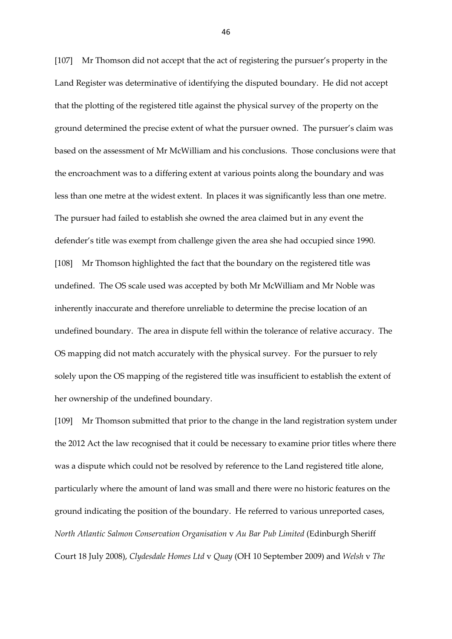[107] Mr Thomson did not accept that the act of registering the pursuer's property in the Land Register was determinative of identifying the disputed boundary. He did not accept that the plotting of the registered title against the physical survey of the property on the ground determined the precise extent of what the pursuer owned. The pursuer's claim was based on the assessment of Mr McWilliam and his conclusions. Those conclusions were that the encroachment was to a differing extent at various points along the boundary and was less than one metre at the widest extent. In places it was significantly less than one metre. The pursuer had failed to establish she owned the area claimed but in any event the defender's title was exempt from challenge given the area she had occupied since 1990. [108] Mr Thomson highlighted the fact that the boundary on the registered title was undefined. The OS scale used was accepted by both Mr McWilliam and Mr Noble was inherently inaccurate and therefore unreliable to determine the precise location of an undefined boundary. The area in dispute fell within the tolerance of relative accuracy. The OS mapping did not match accurately with the physical survey. For the pursuer to rely solely upon the OS mapping of the registered title was insufficient to establish the extent of her ownership of the undefined boundary.

[109] Mr Thomson submitted that prior to the change in the land registration system under the 2012 Act the law recognised that it could be necessary to examine prior titles where there was a dispute which could not be resolved by reference to the Land registered title alone, particularly where the amount of land was small and there were no historic features on the ground indicating the position of the boundary. He referred to various unreported cases, *North Atlantic Salmon Conservation Organisation* v *Au Bar Pub Limited* (Edinburgh Sheriff Court 18 July 2008), *Clydesdale Homes Ltd* v *Quay* (OH 10 September 2009) and *Welsh* v *The*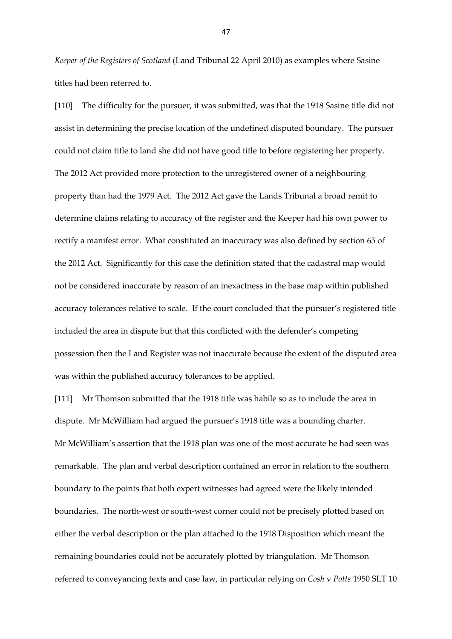*Keeper of the Registers of Scotland* (Land Tribunal 22 April 2010) as examples where Sasine titles had been referred to.

[110] The difficulty for the pursuer, it was submitted, was that the 1918 Sasine title did not assist in determining the precise location of the undefined disputed boundary. The pursuer could not claim title to land she did not have good title to before registering her property. The 2012 Act provided more protection to the unregistered owner of a neighbouring property than had the 1979 Act. The 2012 Act gave the Lands Tribunal a broad remit to determine claims relating to accuracy of the register and the Keeper had his own power to rectify a manifest error. What constituted an inaccuracy was also defined by section 65 of the 2012 Act. Significantly for this case the definition stated that the cadastral map would not be considered inaccurate by reason of an inexactness in the base map within published accuracy tolerances relative to scale. If the court concluded that the pursuer's registered title included the area in dispute but that this conflicted with the defender's competing possession then the Land Register was not inaccurate because the extent of the disputed area was within the published accuracy tolerances to be applied.

[111] Mr Thomson submitted that the 1918 title was habile so as to include the area in dispute. Mr McWilliam had argued the pursuer's 1918 title was a bounding charter. Mr McWilliam's assertion that the 1918 plan was one of the most accurate he had seen was remarkable. The plan and verbal description contained an error in relation to the southern boundary to the points that both expert witnesses had agreed were the likely intended boundaries. The north-west or south-west corner could not be precisely plotted based on either the verbal description or the plan attached to the 1918 Disposition which meant the remaining boundaries could not be accurately plotted by triangulation. Mr Thomson referred to conveyancing texts and case law, in particular relying on *Cosh* v *Potts* 1950 SLT 10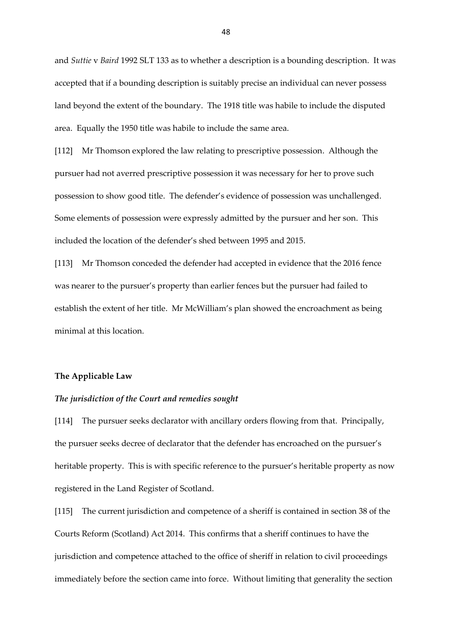and *Suttie* v *Baird* 1992 SLT 133 as to whether a description is a bounding description. It was accepted that if a bounding description is suitably precise an individual can never possess land beyond the extent of the boundary. The 1918 title was habile to include the disputed area. Equally the 1950 title was habile to include the same area.

[112] Mr Thomson explored the law relating to prescriptive possession. Although the pursuer had not averred prescriptive possession it was necessary for her to prove such possession to show good title. The defender's evidence of possession was unchallenged. Some elements of possession were expressly admitted by the pursuer and her son. This included the location of the defender's shed between 1995 and 2015.

[113] Mr Thomson conceded the defender had accepted in evidence that the 2016 fence was nearer to the pursuer's property than earlier fences but the pursuer had failed to establish the extent of her title. Mr McWilliam's plan showed the encroachment as being minimal at this location.

#### **The Applicable Law**

#### *The jurisdiction of the Court and remedies sought*

[114] The pursuer seeks declarator with ancillary orders flowing from that. Principally, the pursuer seeks decree of declarator that the defender has encroached on the pursuer's heritable property. This is with specific reference to the pursuer's heritable property as now registered in the Land Register of Scotland.

[115] The current jurisdiction and competence of a sheriff is contained in section 38 of the Courts Reform (Scotland) Act 2014. This confirms that a sheriff continues to have the jurisdiction and competence attached to the office of sheriff in relation to civil proceedings immediately before the section came into force. Without limiting that generality the section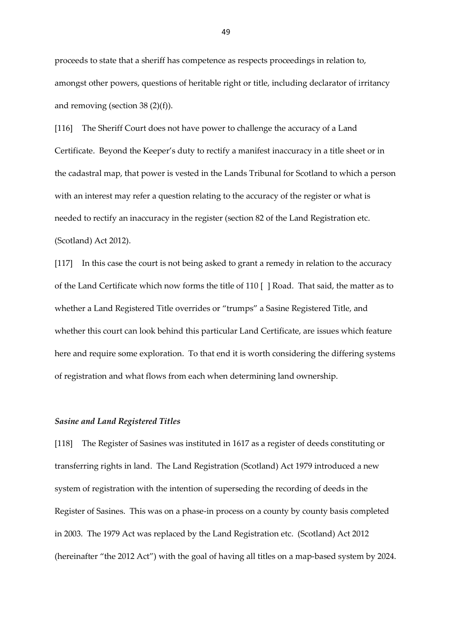proceeds to state that a sheriff has competence as respects proceedings in relation to, amongst other powers, questions of heritable right or title, including declarator of irritancy and removing (section 38 (2)(f)).

[116] The Sheriff Court does not have power to challenge the accuracy of a Land Certificate. Beyond the Keeper's duty to rectify a manifest inaccuracy in a title sheet or in the cadastral map, that power is vested in the Lands Tribunal for Scotland to which a person with an interest may refer a question relating to the accuracy of the register or what is needed to rectify an inaccuracy in the register (section 82 of the Land Registration etc. (Scotland) Act 2012).

[117] In this case the court is not being asked to grant a remedy in relation to the accuracy of the Land Certificate which now forms the title of 110 [ ] Road. That said, the matter as to whether a Land Registered Title overrides or "trumps" a Sasine Registered Title, and whether this court can look behind this particular Land Certificate, are issues which feature here and require some exploration. To that end it is worth considering the differing systems of registration and what flows from each when determining land ownership.

#### *Sasine and Land Registered Titles*

[118] The Register of Sasines was instituted in 1617 as a register of deeds constituting or transferring rights in land. The Land Registration (Scotland) Act 1979 introduced a new system of registration with the intention of superseding the recording of deeds in the Register of Sasines. This was on a phase-in process on a county by county basis completed in 2003. The 1979 Act was replaced by the Land Registration etc. (Scotland) Act 2012 (hereinafter "the 2012 Act") with the goal of having all titles on a map-based system by 2024.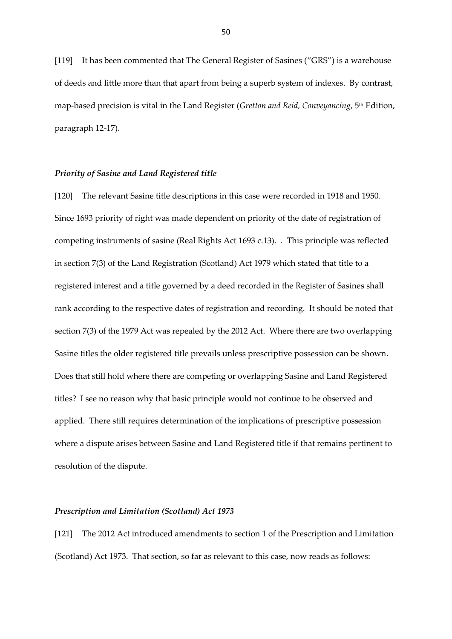[119] It has been commented that The General Register of Sasines ("GRS") is a warehouse of deeds and little more than that apart from being a superb system of indexes. By contrast, map-based precision is vital in the Land Register (*Gretton and Reid, Conveyancing*, 5th Edition, paragraph 12-17).

## *Priority of Sasine and Land Registered title*

[120] The relevant Sasine title descriptions in this case were recorded in 1918 and 1950. Since 1693 priority of right was made dependent on priority of the date of registration of competing instruments of sasine (Real Rights Act 1693 c.13). . This principle was reflected in section 7(3) of the Land Registration (Scotland) Act 1979 which stated that title to a registered interest and a title governed by a deed recorded in the Register of Sasines shall rank according to the respective dates of registration and recording. It should be noted that section 7(3) of the 1979 Act was repealed by the 2012 Act. Where there are two overlapping Sasine titles the older registered title prevails unless prescriptive possession can be shown. Does that still hold where there are competing or overlapping Sasine and Land Registered titles? I see no reason why that basic principle would not continue to be observed and applied. There still requires determination of the implications of prescriptive possession where a dispute arises between Sasine and Land Registered title if that remains pertinent to resolution of the dispute.

## *Prescription and Limitation (Scotland) Act 1973*

[121] The 2012 Act introduced amendments to section 1 of the Prescription and Limitation (Scotland) Act 1973. That section, so far as relevant to this case, now reads as follows: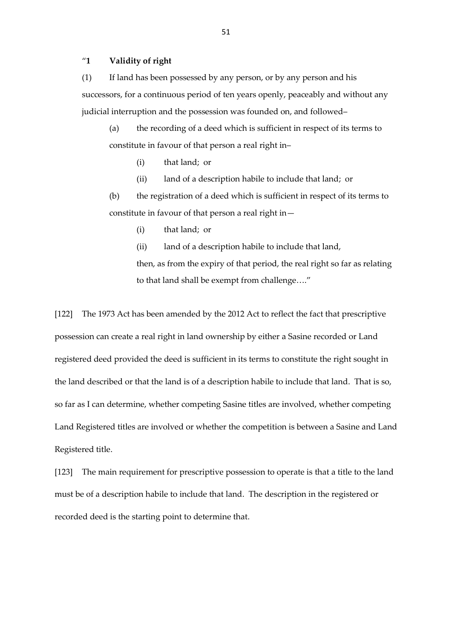## "**1 Validity of right**

(1) If land has been possessed by any person, or by any person and his successors, for a continuous period of ten years openly, peaceably and without any judicial interruption and the possession was founded on, and followed–

(a) the recording of a deed which is sufficient in respect of its terms to constitute in favour of that person a real right in–

- (i) that land; or
- (ii) land of a description habile to include that land; or

(b) the registration of a deed which is sufficient in respect of its terms to constitute in favour of that person a real right in—

(i) that land; or

(ii) land of a description habile to include that land, then, as from the expiry of that period, the real right so far as relating to that land shall be exempt from challenge…."

[122] The 1973 Act has been amended by the 2012 Act to reflect the fact that prescriptive possession can create a real right in land ownership by either a Sasine recorded or Land registered deed provided the deed is sufficient in its terms to constitute the right sought in the land described or that the land is of a description habile to include that land. That is so, so far as I can determine, whether competing Sasine titles are involved, whether competing Land Registered titles are involved or whether the competition is between a Sasine and Land Registered title.

[123] The main requirement for prescriptive possession to operate is that a title to the land must be of a description habile to include that land. The description in the registered or recorded deed is the starting point to determine that.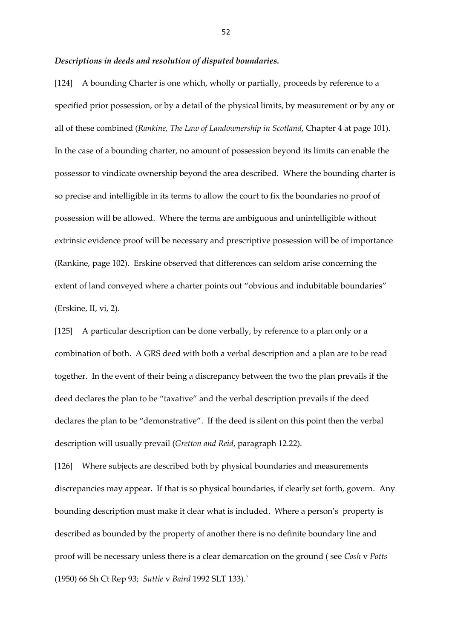#### *Descriptions in deeds and resolution of disputed boundaries.*

[124] A bounding Charter is one which, wholly or partially, proceeds by reference to a specified prior possession, or by a detail of the physical limits, by measurement or by any or all of these combined (*Rankine, The Law of Landownership in Scotland*, Chapter 4 at page 101). In the case of a bounding charter, no amount of possession beyond its limits can enable the possessor to vindicate ownership beyond the area described. Where the bounding charter is so precise and intelligible in its terms to allow the court to fix the boundaries no proof of possession will be allowed. Where the terms are ambiguous and unintelligible without extrinsic evidence proof will be necessary and prescriptive possession will be of importance (Rankine, page 102). Erskine observed that differences can seldom arise concerning the extent of land conveyed where a charter points out "obvious and indubitable boundaries" (Erskine, II, vi, 2).

[125] A particular description can be done verbally, by reference to a plan only or a combination of both. A GRS deed with both a verbal description and a plan are to be read together. In the event of their being a discrepancy between the two the plan prevails if the deed declares the plan to be "taxative" and the verbal description prevails if the deed declares the plan to be "demonstrative". If the deed is silent on this point then the verbal description will usually prevail (*Gretton and Reid*, paragraph 12.22).

[126] Where subjects are described both by physical boundaries and measurements discrepancies may appear. If that is so physical boundaries, if clearly set forth, govern. Any bounding description must make it clear what is included. Where a person's property is described as bounded by the property of another there is no definite boundary line and proof will be necessary unless there is a clear demarcation on the ground ( see *Cosh* v *Potts* (1950) 66 Sh Ct Rep 93; *Suttie* v *Baird* 1992 SLT 133).`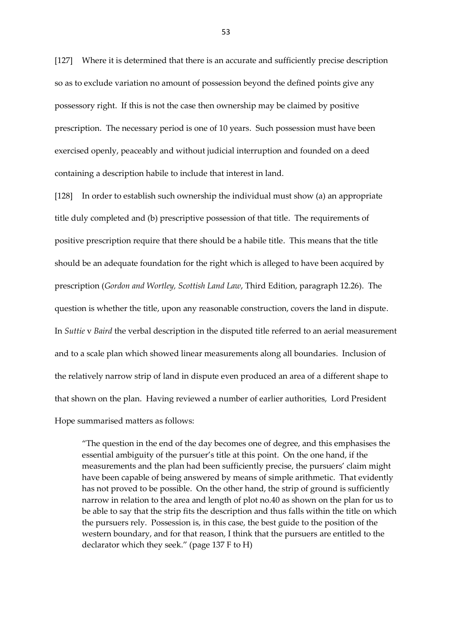[127] Where it is determined that there is an accurate and sufficiently precise description so as to exclude variation no amount of possession beyond the defined points give any possessory right. If this is not the case then ownership may be claimed by positive prescription. The necessary period is one of 10 years. Such possession must have been exercised openly, peaceably and without judicial interruption and founded on a deed containing a description habile to include that interest in land.

[128] In order to establish such ownership the individual must show (a) an appropriate title duly completed and (b) prescriptive possession of that title. The requirements of positive prescription require that there should be a habile title. This means that the title should be an adequate foundation for the right which is alleged to have been acquired by prescription (*Gordon and Wortley, Scottish Land Law*, Third Edition, paragraph 12.26). The question is whether the title, upon any reasonable construction, covers the land in dispute. In *Suttie* v *Baird* the verbal description in the disputed title referred to an aerial measurement and to a scale plan which showed linear measurements along all boundaries. Inclusion of the relatively narrow strip of land in dispute even produced an area of a different shape to that shown on the plan. Having reviewed a number of earlier authorities, Lord President Hope summarised matters as follows:

"The question in the end of the day becomes one of degree, and this emphasises the essential ambiguity of the pursuer's title at this point. On the one hand, if the measurements and the plan had been sufficiently precise, the pursuers' claim might have been capable of being answered by means of simple arithmetic. That evidently has not proved to be possible. On the other hand, the strip of ground is sufficiently narrow in relation to the area and length of plot no.40 as shown on the plan for us to be able to say that the strip fits the description and thus falls within the title on which the pursuers rely. Possession is, in this case, the best guide to the position of the western boundary, and for that reason, I think that the pursuers are entitled to the declarator which they seek." (page 137 F to H)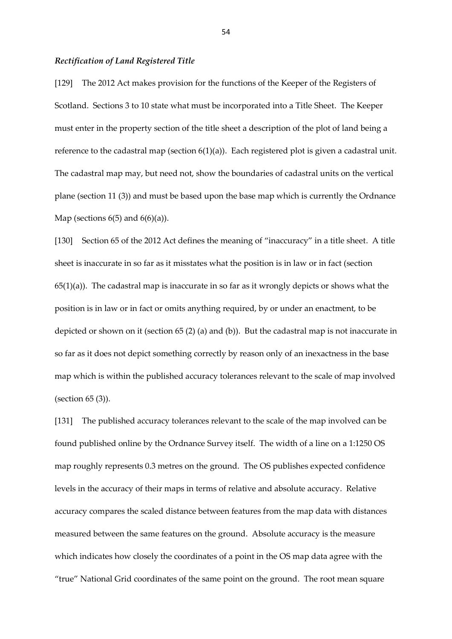#### *Rectification of Land Registered Title*

[129] The 2012 Act makes provision for the functions of the Keeper of the Registers of Scotland. Sections 3 to 10 state what must be incorporated into a Title Sheet. The Keeper must enter in the property section of the title sheet a description of the plot of land being a reference to the cadastral map (section  $6(1)(a)$ ). Each registered plot is given a cadastral unit. The cadastral map may, but need not, show the boundaries of cadastral units on the vertical plane (section 11 (3)) and must be based upon the base map which is currently the Ordnance Map (sections  $6(5)$  and  $6(6)(a)$ ).

[130] Section 65 of the 2012 Act defines the meaning of "inaccuracy" in a title sheet. A title sheet is inaccurate in so far as it misstates what the position is in law or in fact (section  $65(1)(a)$ ). The cadastral map is inaccurate in so far as it wrongly depicts or shows what the position is in law or in fact or omits anything required, by or under an enactment, to be depicted or shown on it (section 65 (2) (a) and (b)). But the cadastral map is not inaccurate in so far as it does not depict something correctly by reason only of an inexactness in the base map which is within the published accuracy tolerances relevant to the scale of map involved (section 65 (3)).

[131] The published accuracy tolerances relevant to the scale of the map involved can be found published online by the Ordnance Survey itself. The width of a line on a 1:1250 OS map roughly represents 0.3 metres on the ground. The OS publishes expected confidence levels in the accuracy of their maps in terms of relative and absolute accuracy. Relative accuracy compares the scaled distance between features from the map data with distances measured between the same features on the ground. Absolute accuracy is the measure which indicates how closely the coordinates of a point in the OS map data agree with the "true" National Grid coordinates of the same point on the ground. The root mean square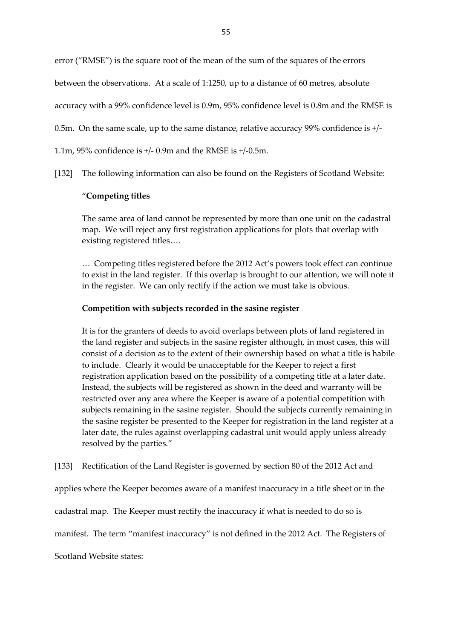error ("RMSE") is the square root of the mean of the sum of the squares of the errors

between the observations. At a scale of 1:1250, up to a distance of 60 metres, absolute

accuracy with a 99% confidence level is 0.9m, 95% confidence level is 0.8m and the RMSE is

0.5m. On the same scale, up to the same distance, relative accuracy 99% confidence is +/-

1.1m, 95% confidence is +/- 0.9m and the RMSE is +/-0.5m.

[132] The following information can also be found on the Registers of Scotland Website:

# "**Competing titles**

The same area of land cannot be represented by more than one unit on the cadastral map. We will reject any first registration applications for plots that overlap with existing registered titles….

… Competing titles registered before the 2012 Act's powers took effect can continue to exist in the land register. If this overlap is brought to our attention, we will note it in the register. We can only rectify if the action we must take is obvious.

# **Competition with subjects recorded in the sasine register**

It is for the granters of deeds to avoid overlaps between plots of land registered in the land register and subjects in the sasine register although, in most cases, this will consist of a decision as to the extent of their ownership based on what a title is habile to include. Clearly it would be unacceptable for the Keeper to reject a first registration application based on the possibility of a competing title at a later date. Instead, the subjects will be registered as shown in the deed and warranty will be restricted over any area where the Keeper is aware of a potential competition with subjects remaining in the sasine register. Should the subjects currently remaining in the sasine register be presented to the Keeper for registration in the land register at a later date, the rules against overlapping cadastral unit would apply unless already resolved by the parties."

[133] Rectification of the Land Register is governed by section 80 of the 2012 Act and

applies where the Keeper becomes aware of a manifest inaccuracy in a title sheet or in the

cadastral map. The Keeper must rectify the inaccuracy if what is needed to do so is

manifest. The term "manifest inaccuracy" is not defined in the 2012 Act. The Registers of

Scotland Website states: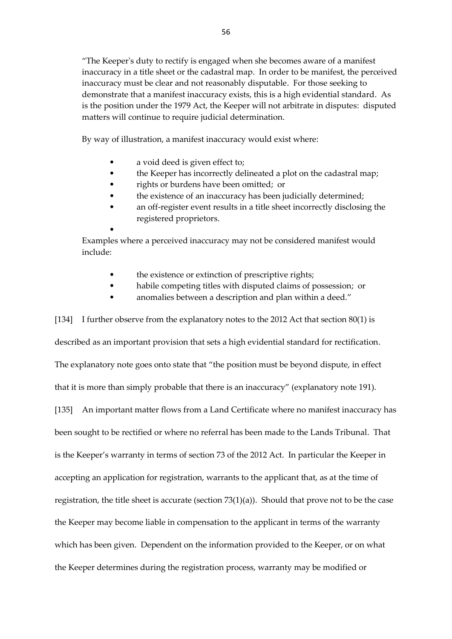"The Keeper's duty to rectify is engaged when she becomes aware of a manifest inaccuracy in a title sheet or the cadastral map. In order to be manifest, the perceived inaccuracy must be clear and not reasonably disputable. For those seeking to demonstrate that a manifest inaccuracy exists, this is a high evidential standard. As is the position under the 1979 Act, the Keeper will not arbitrate in disputes: disputed matters will continue to require judicial determination.

By way of illustration, a manifest inaccuracy would exist where:

- a void deed is given effect to;
- the Keeper has incorrectly delineated a plot on the cadastral map;
- rights or burdens have been omitted; or
- the existence of an inaccuracy has been judicially determined;
- an off-register event results in a title sheet incorrectly disclosing the registered proprietors.

• Examples where a perceived inaccuracy may not be considered manifest would include:

- the existence or extinction of prescriptive rights;
- habile competing titles with disputed claims of possession; or
- anomalies between a description and plan within a deed."

[134] I further observe from the explanatory notes to the 2012 Act that section 80(1) is described as an important provision that sets a high evidential standard for rectification. The explanatory note goes onto state that "the position must be beyond dispute, in effect that it is more than simply probable that there is an inaccuracy" (explanatory note 191). [135] An important matter flows from a Land Certificate where no manifest inaccuracy has been sought to be rectified or where no referral has been made to the Lands Tribunal. That is the Keeper's warranty in terms of section 73 of the 2012 Act. In particular the Keeper in accepting an application for registration, warrants to the applicant that, as at the time of registration, the title sheet is accurate (section 73(1)(a)). Should that prove not to be the case the Keeper may become liable in compensation to the applicant in terms of the warranty which has been given. Dependent on the information provided to the Keeper, or on what the Keeper determines during the registration process, warranty may be modified or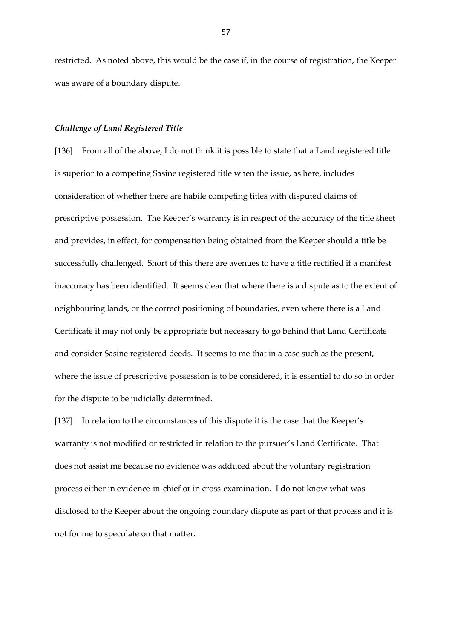restricted. As noted above, this would be the case if, in the course of registration, the Keeper was aware of a boundary dispute.

## *Challenge of Land Registered Title*

[136] From all of the above, I do not think it is possible to state that a Land registered title is superior to a competing Sasine registered title when the issue, as here, includes consideration of whether there are habile competing titles with disputed claims of prescriptive possession. The Keeper's warranty is in respect of the accuracy of the title sheet and provides, in effect, for compensation being obtained from the Keeper should a title be successfully challenged. Short of this there are avenues to have a title rectified if a manifest inaccuracy has been identified. It seems clear that where there is a dispute as to the extent of neighbouring lands, or the correct positioning of boundaries, even where there is a Land Certificate it may not only be appropriate but necessary to go behind that Land Certificate and consider Sasine registered deeds. It seems to me that in a case such as the present, where the issue of prescriptive possession is to be considered, it is essential to do so in order for the dispute to be judicially determined.

[137] In relation to the circumstances of this dispute it is the case that the Keeper's warranty is not modified or restricted in relation to the pursuer's Land Certificate. That does not assist me because no evidence was adduced about the voluntary registration process either in evidence-in-chief or in cross-examination. I do not know what was disclosed to the Keeper about the ongoing boundary dispute as part of that process and it is not for me to speculate on that matter.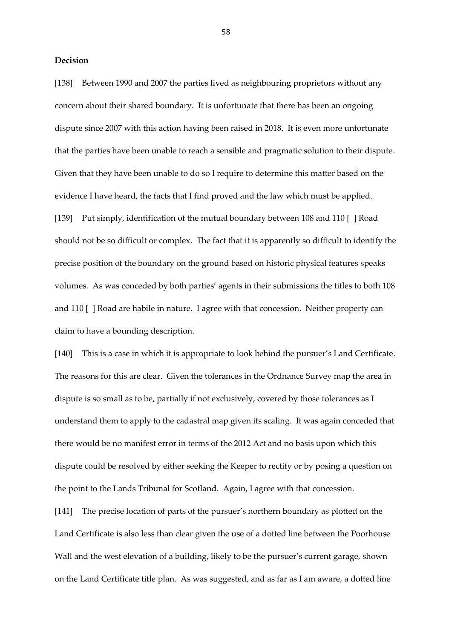## **Decision**

[138] Between 1990 and 2007 the parties lived as neighbouring proprietors without any concern about their shared boundary. It is unfortunate that there has been an ongoing dispute since 2007 with this action having been raised in 2018. It is even more unfortunate that the parties have been unable to reach a sensible and pragmatic solution to their dispute. Given that they have been unable to do so I require to determine this matter based on the evidence I have heard, the facts that I find proved and the law which must be applied. [139] Put simply, identification of the mutual boundary between 108 and 110 [ ] Road should not be so difficult or complex. The fact that it is apparently so difficult to identify the precise position of the boundary on the ground based on historic physical features speaks volumes. As was conceded by both parties' agents in their submissions the titles to both 108 and 110 [ ] Road are habile in nature. I agree with that concession. Neither property can claim to have a bounding description.

[140] This is a case in which it is appropriate to look behind the pursuer's Land Certificate. The reasons for this are clear. Given the tolerances in the Ordnance Survey map the area in dispute is so small as to be, partially if not exclusively, covered by those tolerances as I understand them to apply to the cadastral map given its scaling. It was again conceded that there would be no manifest error in terms of the 2012 Act and no basis upon which this dispute could be resolved by either seeking the Keeper to rectify or by posing a question on the point to the Lands Tribunal for Scotland. Again, I agree with that concession.

[141] The precise location of parts of the pursuer's northern boundary as plotted on the Land Certificate is also less than clear given the use of a dotted line between the Poorhouse Wall and the west elevation of a building, likely to be the pursuer's current garage, shown on the Land Certificate title plan. As was suggested, and as far as I am aware, a dotted line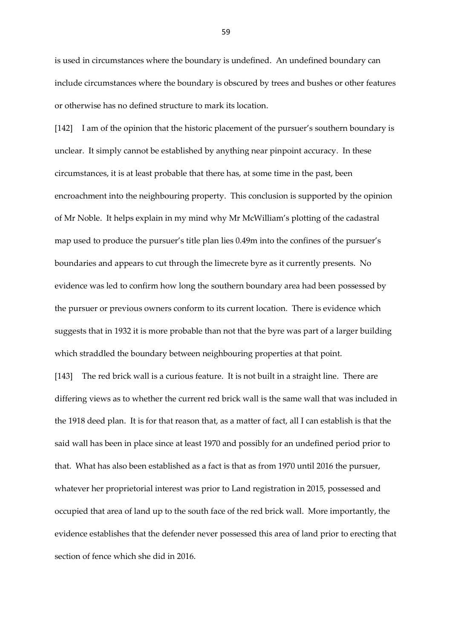is used in circumstances where the boundary is undefined. An undefined boundary can include circumstances where the boundary is obscured by trees and bushes or other features or otherwise has no defined structure to mark its location.

[142] I am of the opinion that the historic placement of the pursuer's southern boundary is unclear. It simply cannot be established by anything near pinpoint accuracy. In these circumstances, it is at least probable that there has, at some time in the past, been encroachment into the neighbouring property. This conclusion is supported by the opinion of Mr Noble. It helps explain in my mind why Mr McWilliam's plotting of the cadastral map used to produce the pursuer's title plan lies 0.49m into the confines of the pursuer's boundaries and appears to cut through the limecrete byre as it currently presents. No evidence was led to confirm how long the southern boundary area had been possessed by the pursuer or previous owners conform to its current location. There is evidence which suggests that in 1932 it is more probable than not that the byre was part of a larger building which straddled the boundary between neighbouring properties at that point.

[143] The red brick wall is a curious feature. It is not built in a straight line. There are differing views as to whether the current red brick wall is the same wall that was included in the 1918 deed plan. It is for that reason that, as a matter of fact, all I can establish is that the said wall has been in place since at least 1970 and possibly for an undefined period prior to that. What has also been established as a fact is that as from 1970 until 2016 the pursuer, whatever her proprietorial interest was prior to Land registration in 2015, possessed and occupied that area of land up to the south face of the red brick wall. More importantly, the evidence establishes that the defender never possessed this area of land prior to erecting that section of fence which she did in 2016.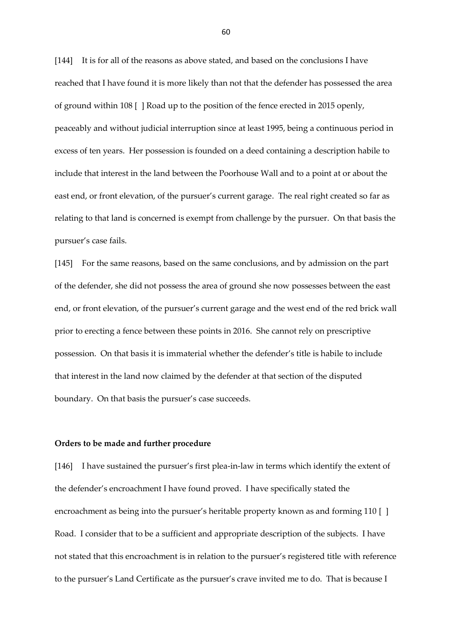[144] It is for all of the reasons as above stated, and based on the conclusions I have reached that I have found it is more likely than not that the defender has possessed the area of ground within 108 [ ] Road up to the position of the fence erected in 2015 openly, peaceably and without judicial interruption since at least 1995, being a continuous period in excess of ten years. Her possession is founded on a deed containing a description habile to include that interest in the land between the Poorhouse Wall and to a point at or about the east end, or front elevation, of the pursuer's current garage. The real right created so far as relating to that land is concerned is exempt from challenge by the pursuer. On that basis the pursuer's case fails.

[145] For the same reasons, based on the same conclusions, and by admission on the part of the defender, she did not possess the area of ground she now possesses between the east end, or front elevation, of the pursuer's current garage and the west end of the red brick wall prior to erecting a fence between these points in 2016. She cannot rely on prescriptive possession. On that basis it is immaterial whether the defender's title is habile to include that interest in the land now claimed by the defender at that section of the disputed boundary. On that basis the pursuer's case succeeds.

## **Orders to be made and further procedure**

[146] I have sustained the pursuer's first plea-in-law in terms which identify the extent of the defender's encroachment I have found proved. I have specifically stated the encroachment as being into the pursuer's heritable property known as and forming 110 [ ] Road. I consider that to be a sufficient and appropriate description of the subjects. I have not stated that this encroachment is in relation to the pursuer's registered title with reference to the pursuer's Land Certificate as the pursuer's crave invited me to do. That is because I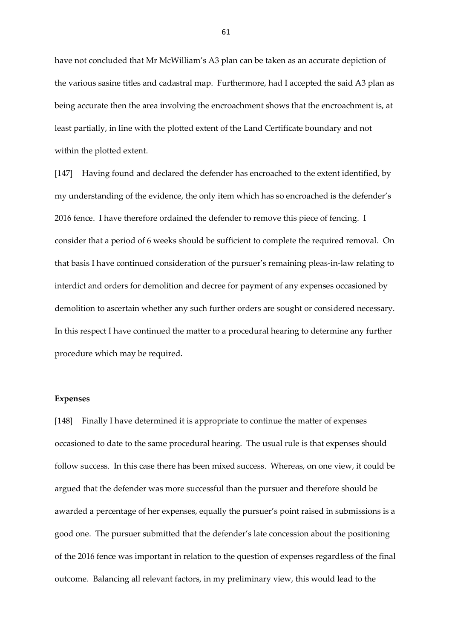have not concluded that Mr McWilliam's A3 plan can be taken as an accurate depiction of the various sasine titles and cadastral map. Furthermore, had I accepted the said A3 plan as being accurate then the area involving the encroachment shows that the encroachment is, at least partially, in line with the plotted extent of the Land Certificate boundary and not within the plotted extent.

[147] Having found and declared the defender has encroached to the extent identified, by my understanding of the evidence, the only item which has so encroached is the defender's 2016 fence. I have therefore ordained the defender to remove this piece of fencing. I consider that a period of 6 weeks should be sufficient to complete the required removal. On that basis I have continued consideration of the pursuer's remaining pleas-in-law relating to interdict and orders for demolition and decree for payment of any expenses occasioned by demolition to ascertain whether any such further orders are sought or considered necessary. In this respect I have continued the matter to a procedural hearing to determine any further procedure which may be required.

#### **Expenses**

[148] Finally I have determined it is appropriate to continue the matter of expenses occasioned to date to the same procedural hearing. The usual rule is that expenses should follow success. In this case there has been mixed success. Whereas, on one view, it could be argued that the defender was more successful than the pursuer and therefore should be awarded a percentage of her expenses, equally the pursuer's point raised in submissions is a good one. The pursuer submitted that the defender's late concession about the positioning of the 2016 fence was important in relation to the question of expenses regardless of the final outcome. Balancing all relevant factors, in my preliminary view, this would lead to the